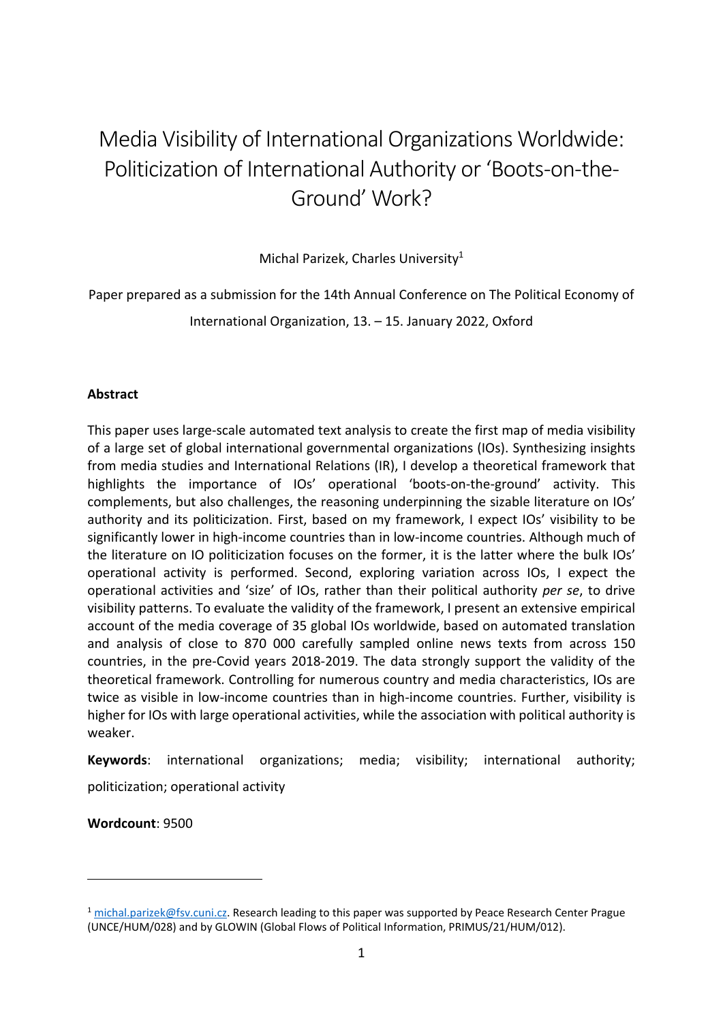# Media Visibility of International Organizations Worldwide: Politicization of International Authority or 'Boots-on-the-Ground' Work?

Michal Parizek, Charles University<sup>1</sup>

Paper prepared as a submission for the 14th Annual Conference on The Political Economy of International Organization, 13. – 15. January 2022, Oxford

### **Abstract**

This paper uses large-scale automated text analysis to create the first map of media visibility of a large set of global international governmental organizations (IOs). Synthesizing insights from media studies and International Relations (IR), I develop a theoretical framework that highlights the importance of IOs' operational 'boots-on-the-ground' activity. This complements, but also challenges, the reasoning underpinning the sizable literature on IOs' authority and its politicization. First, based on my framework, I expect IOs' visibility to be significantly lower in high-income countries than in low-income countries. Although much of the literature on IO politicization focuses on the former, it is the latter where the bulk IOs' operational activity is performed. Second, exploring variation across IOs, I expect the operational activities and 'size' of IOs, rather than their political authority *per se*, to drive visibility patterns. To evaluate the validity of the framework, I present an extensive empirical account of the media coverage of 35 global IOs worldwide, based on automated translation and analysis of close to 870 000 carefully sampled online news texts from across 150 countries, in the pre-Covid years 2018-2019. The data strongly support the validity of the theoretical framework. Controlling for numerous country and media characteristics, IOs are twice as visible in low-income countries than in high-income countries. Further, visibility is higher for IOs with large operational activities, while the association with political authority is weaker.

**Keywords**: international organizations; media; visibility; international authority; politicization; operational activity

**Wordcount**: 9500

<sup>1</sup> [michal.parizek@fsv.cuni.cz.](mailto:michal.parizek@fsv.cuni.cz) Research leading to this paper was supported by Peace Research Center Prague (UNCE/HUM/028) and by GLOWIN (Global Flows of Political Information, PRIMUS/21/HUM/012).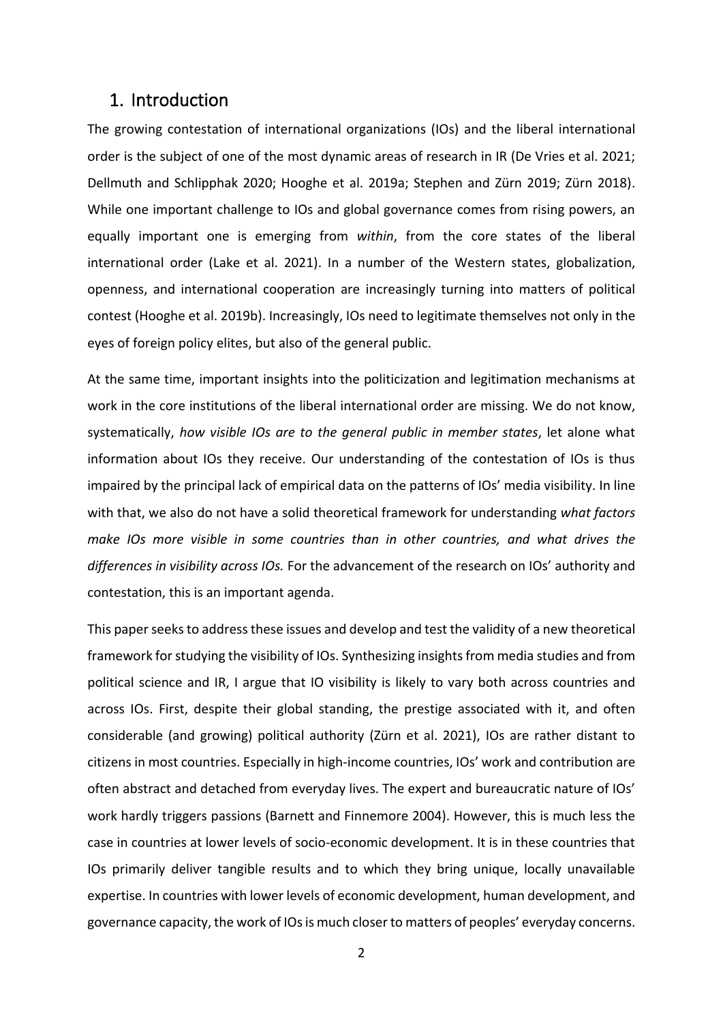### 1. Introduction

The growing contestation of international organizations (IOs) and the liberal international order is the subject of one of the most dynamic areas of research in IR (De Vries et al. 2021; Dellmuth and Schlipphak 2020; Hooghe et al. 2019a; Stephen and Zürn 2019; Zürn 2018). While one important challenge to IOs and global governance comes from rising powers, an equally important one is emerging from *within*, from the core states of the liberal international order (Lake et al. 2021). In a number of the Western states, globalization, openness, and international cooperation are increasingly turning into matters of political contest (Hooghe et al. 2019b). Increasingly, IOs need to legitimate themselves not only in the eyes of foreign policy elites, but also of the general public.

At the same time, important insights into the politicization and legitimation mechanisms at work in the core institutions of the liberal international order are missing. We do not know, systematically, *how visible IOs are to the general public in member states*, let alone what information about IOs they receive. Our understanding of the contestation of IOs is thus impaired by the principal lack of empirical data on the patterns of IOs' media visibility. In line with that, we also do not have a solid theoretical framework for understanding *what factors make IOs more visible in some countries than in other countries, and what drives the differences in visibility across IOs.* For the advancement of the research on IOs' authority and contestation, this is an important agenda.

This paper seeks to address these issues and develop and test the validity of a new theoretical framework for studying the visibility of IOs. Synthesizing insights from media studies and from political science and IR, I argue that IO visibility is likely to vary both across countries and across IOs. First, despite their global standing, the prestige associated with it, and often considerable (and growing) political authority (Zürn et al. 2021), IOs are rather distant to citizens in most countries. Especially in high-income countries, IOs' work and contribution are often abstract and detached from everyday lives. The expert and bureaucratic nature of IOs' work hardly triggers passions (Barnett and Finnemore 2004). However, this is much less the case in countries at lower levels of socio-economic development. It is in these countries that IOs primarily deliver tangible results and to which they bring unique, locally unavailable expertise. In countries with lower levels of economic development, human development, and governance capacity, the work of IOs is much closer to matters of peoples' everyday concerns.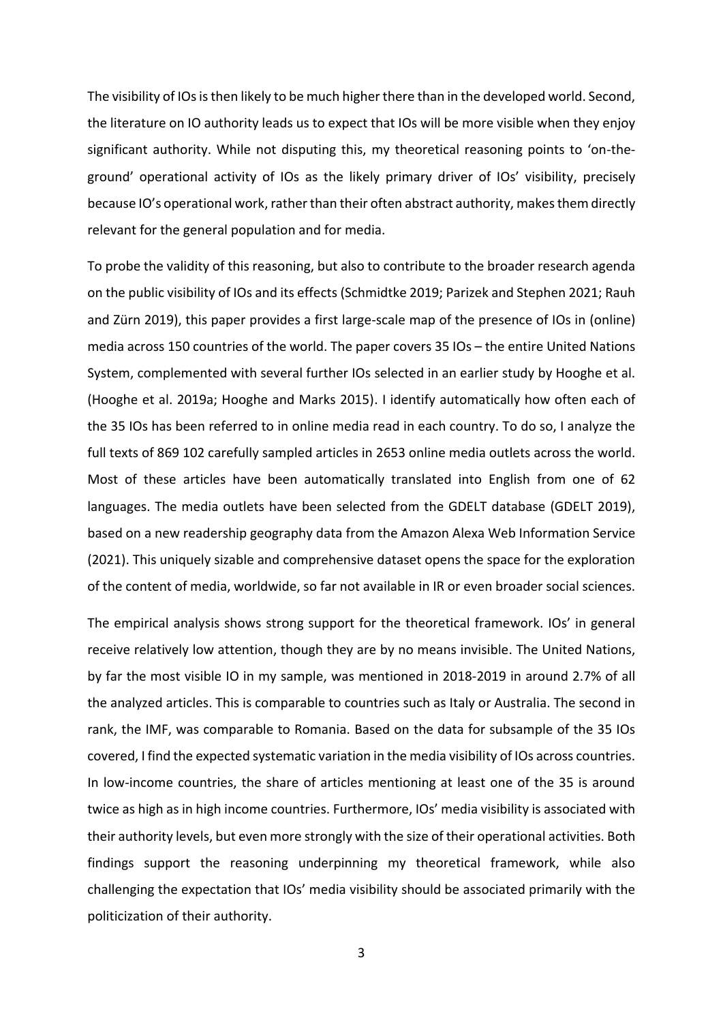The visibility of IOs is then likely to be much higher there than in the developed world. Second, the literature on IO authority leads us to expect that IOs will be more visible when they enjoy significant authority. While not disputing this, my theoretical reasoning points to 'on-theground' operational activity of IOs as the likely primary driver of IOs' visibility, precisely because IO's operational work, rather than their often abstract authority, makes them directly relevant for the general population and for media.

To probe the validity of this reasoning, but also to contribute to the broader research agenda on the public visibility of IOs and its effects (Schmidtke 2019; Parizek and Stephen 2021; Rauh and Zürn 2019), this paper provides a first large-scale map of the presence of IOs in (online) media across 150 countries of the world. The paper covers 35 IOs – the entire United Nations System, complemented with several further IOs selected in an earlier study by Hooghe et al. (Hooghe et al. 2019a; Hooghe and Marks 2015). I identify automatically how often each of the 35 IOs has been referred to in online media read in each country. To do so, I analyze the full texts of 869 102 carefully sampled articles in 2653 online media outlets across the world. Most of these articles have been automatically translated into English from one of 62 languages. The media outlets have been selected from the GDELT database (GDELT 2019), based on a new readership geography data from the Amazon Alexa Web Information Service (2021). This uniquely sizable and comprehensive dataset opens the space for the exploration of the content of media, worldwide, so far not available in IR or even broader social sciences.

The empirical analysis shows strong support for the theoretical framework. IOs' in general receive relatively low attention, though they are by no means invisible. The United Nations, by far the most visible IO in my sample, was mentioned in 2018-2019 in around 2.7% of all the analyzed articles. This is comparable to countries such as Italy or Australia. The second in rank, the IMF, was comparable to Romania. Based on the data for subsample of the 35 IOs covered, I find the expected systematic variation in the media visibility of IOs across countries. In low-income countries, the share of articles mentioning at least one of the 35 is around twice as high as in high income countries. Furthermore, IOs' media visibility is associated with their authority levels, but even more strongly with the size of their operational activities. Both findings support the reasoning underpinning my theoretical framework, while also challenging the expectation that IOs' media visibility should be associated primarily with the politicization of their authority.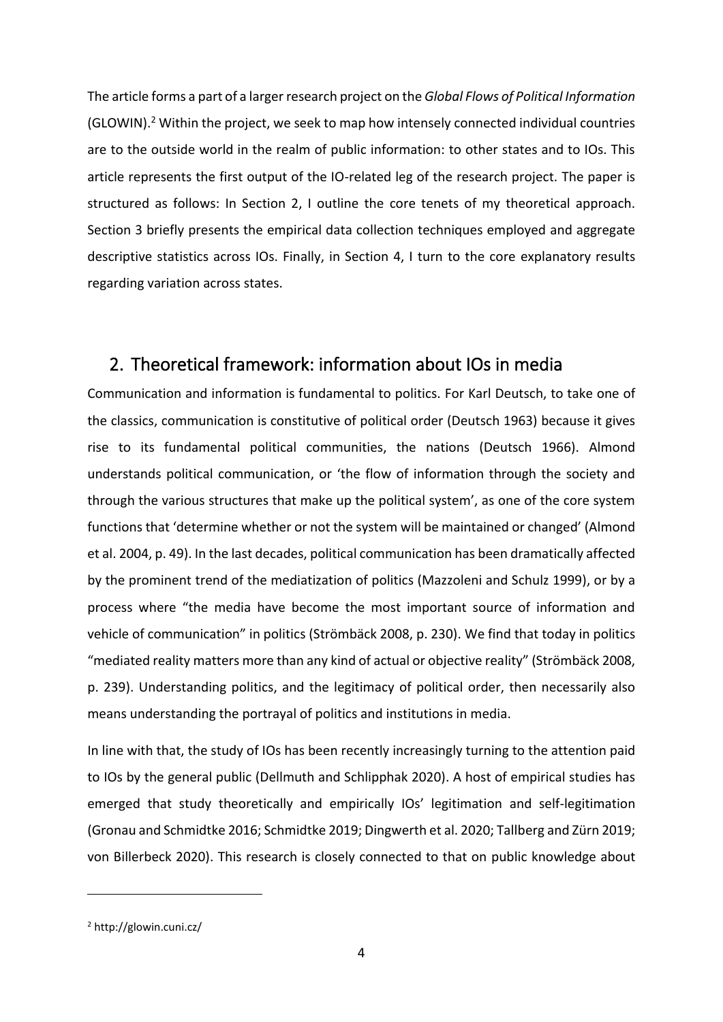The article forms a part of a larger research project on the *Global Flows of Political Information* (GLOWIN). <sup>2</sup> Within the project, we seek to map how intensely connected individual countries are to the outside world in the realm of public information: to other states and to IOs. This article represents the first output of the IO-related leg of the research project. The paper is structured as follows: In Section 2, I outline the core tenets of my theoretical approach. Section 3 briefly presents the empirical data collection techniques employed and aggregate descriptive statistics across IOs. Finally, in Section 4, I turn to the core explanatory results regarding variation across states.

## 2. Theoretical framework: information about IOs in media

Communication and information is fundamental to politics. For Karl Deutsch, to take one of the classics, communication is constitutive of political order (Deutsch 1963) because it gives rise to its fundamental political communities, the nations (Deutsch 1966). Almond understands political communication, or 'the flow of information through the society and through the various structures that make up the political system', as one of the core system functions that 'determine whether or not the system will be maintained or changed' (Almond et al. 2004, p. 49). In the last decades, political communication has been dramatically affected by the prominent trend of the mediatization of politics (Mazzoleni and Schulz 1999), or by a process where "the media have become the most important source of information and vehicle of communication" in politics (Strömbäck 2008, p. 230). We find that today in politics "mediated reality matters more than any kind of actual or objective reality" (Strömbäck 2008, p. 239). Understanding politics, and the legitimacy of political order, then necessarily also means understanding the portrayal of politics and institutions in media.

In line with that, the study of IOs has been recently increasingly turning to the attention paid to IOs by the general public (Dellmuth and Schlipphak 2020). A host of empirical studies has emerged that study theoretically and empirically IOs' legitimation and self-legitimation (Gronau and Schmidtke 2016; Schmidtke 2019; Dingwerth et al. 2020; Tallberg and Zürn 2019; von Billerbeck 2020). This research is closely connected to that on public knowledge about

<sup>2</sup> http://glowin.cuni.cz/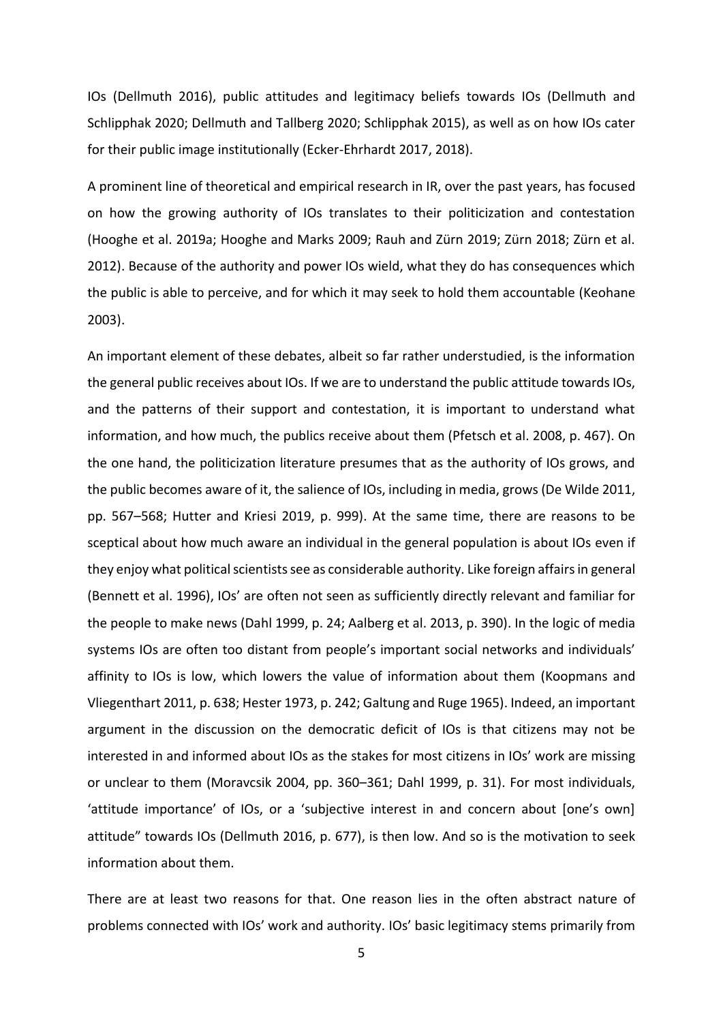IOs (Dellmuth 2016), public attitudes and legitimacy beliefs towards IOs (Dellmuth and Schlipphak 2020; Dellmuth and Tallberg 2020; Schlipphak 2015), as well as on how IOs cater for their public image institutionally (Ecker-Ehrhardt 2017, 2018).

A prominent line of theoretical and empirical research in IR, over the past years, has focused on how the growing authority of IOs translates to their politicization and contestation (Hooghe et al. 2019a; Hooghe and Marks 2009; Rauh and Zürn 2019; Zürn 2018; Zürn et al. 2012). Because of the authority and power IOs wield, what they do has consequences which the public is able to perceive, and for which it may seek to hold them accountable (Keohane 2003).

An important element of these debates, albeit so far rather understudied, is the information the general public receives about IOs. If we are to understand the public attitude towards IOs, and the patterns of their support and contestation, it is important to understand what information, and how much, the publics receive about them (Pfetsch et al. 2008, p. 467). On the one hand, the politicization literature presumes that as the authority of IOs grows, and the public becomes aware of it, the salience of IOs, including in media, grows (De Wilde 2011, pp. 567–568; Hutter and Kriesi 2019, p. 999). At the same time, there are reasons to be sceptical about how much aware an individual in the general population is about IOs even if they enjoy what political scientists see as considerable authority. Like foreign affairs in general (Bennett et al. 1996), IOs' are often not seen as sufficiently directly relevant and familiar for the people to make news (Dahl 1999, p. 24; Aalberg et al. 2013, p. 390). In the logic of media systems IOs are often too distant from people's important social networks and individuals' affinity to IOs is low, which lowers the value of information about them (Koopmans and Vliegenthart 2011, p. 638; Hester 1973, p. 242; Galtung and Ruge 1965). Indeed, an important argument in the discussion on the democratic deficit of IOs is that citizens may not be interested in and informed about IOs as the stakes for most citizens in IOs' work are missing or unclear to them (Moravcsik 2004, pp. 360–361; Dahl 1999, p. 31). For most individuals, 'attitude importance' of IOs, or a 'subjective interest in and concern about [one's own] attitude" towards IOs (Dellmuth 2016, p. 677), is then low. And so is the motivation to seek information about them.

There are at least two reasons for that. One reason lies in the often abstract nature of problems connected with IOs' work and authority. IOs' basic legitimacy stems primarily from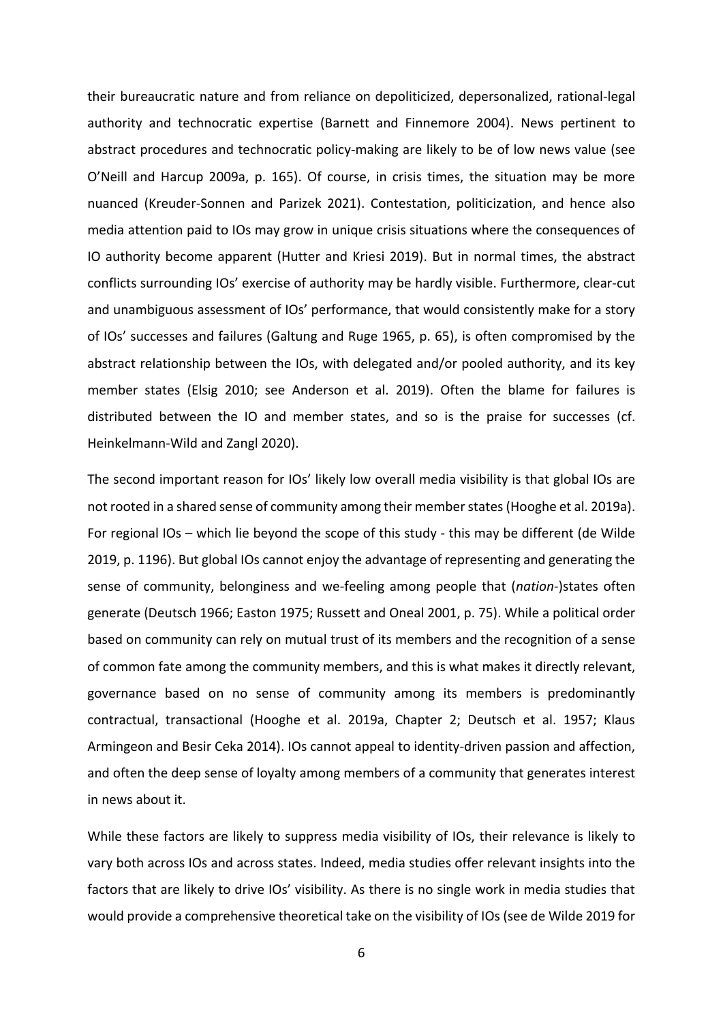their bureaucratic nature and from reliance on depoliticized, depersonalized, rational-legal authority and technocratic expertise (Barnett and Finnemore 2004). News pertinent to abstract procedures and technocratic policy-making are likely to be of low news value (see O'Neill and Harcup 2009a, p. 165). Of course, in crisis times, the situation may be more nuanced (Kreuder-Sonnen and Parizek 2021). Contestation, politicization, and hence also media attention paid to IOs may grow in unique crisis situations where the consequences of IO authority become apparent (Hutter and Kriesi 2019). But in normal times, the abstract conflicts surrounding IOs' exercise of authority may be hardly visible. Furthermore, clear-cut and unambiguous assessment of IOs' performance, that would consistently make for a story of IOs' successes and failures (Galtung and Ruge 1965, p. 65), is often compromised by the abstract relationship between the IOs, with delegated and/or pooled authority, and its key member states (Elsig 2010; see Anderson et al. 2019). Often the blame for failures is distributed between the IO and member states, and so is the praise for successes (cf. Heinkelmann‐Wild and Zangl 2020).

The second important reason for IOs' likely low overall media visibility is that global IOs are not rooted in a shared sense of community among their member states (Hooghe et al. 2019a). For regional IOs – which lie beyond the scope of this study - this may be different (de Wilde 2019, p. 1196). But global IOs cannot enjoy the advantage of representing and generating the sense of community, belonginess and we-feeling among people that (*nation*-)states often generate (Deutsch 1966; Easton 1975; Russett and Oneal 2001, p. 75). While a political order based on community can rely on mutual trust of its members and the recognition of a sense of common fate among the community members, and this is what makes it directly relevant, governance based on no sense of community among its members is predominantly contractual, transactional (Hooghe et al. 2019a, Chapter 2; Deutsch et al. 1957; Klaus Armingeon and Besir Ceka 2014). IOs cannot appeal to identity-driven passion and affection, and often the deep sense of loyalty among members of a community that generates interest in news about it.

While these factors are likely to suppress media visibility of IOs, their relevance is likely to vary both across IOs and across states. Indeed, media studies offer relevant insights into the factors that are likely to drive IOs' visibility. As there is no single work in media studies that would provide a comprehensive theoretical take on the visibility of IOs (see de Wilde 2019 for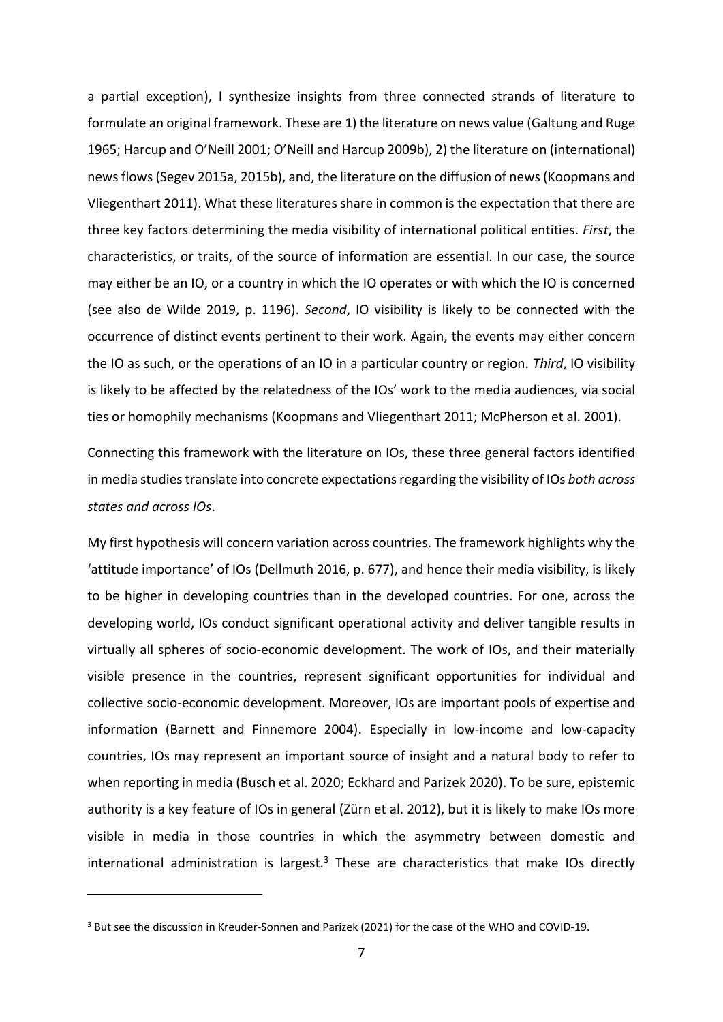a partial exception), I synthesize insights from three connected strands of literature to formulate an original framework. These are 1) the literature on news value (Galtung and Ruge 1965; Harcup and O'Neill 2001; O'Neill and Harcup 2009b), 2) the literature on (international) news flows (Segev 2015a, 2015b), and, the literature on the diffusion of news (Koopmans and Vliegenthart 2011). What these literatures share in common is the expectation that there are three key factors determining the media visibility of international political entities. *First*, the characteristics, or traits, of the source of information are essential. In our case, the source may either be an IO, or a country in which the IO operates or with which the IO is concerned (see also de Wilde 2019, p. 1196). *Second*, IO visibility is likely to be connected with the occurrence of distinct events pertinent to their work. Again, the events may either concern the IO as such, or the operations of an IO in a particular country or region. *Third*, IO visibility is likely to be affected by the relatedness of the IOs' work to the media audiences, via social ties or homophily mechanisms (Koopmans and Vliegenthart 2011; McPherson et al. 2001).

Connecting this framework with the literature on IOs, these three general factors identified in media studies translate into concrete expectations regarding the visibility of IOs *both across states and across IOs*.

My first hypothesis will concern variation across countries. The framework highlights why the 'attitude importance' of IOs (Dellmuth 2016, p. 677), and hence their media visibility, is likely to be higher in developing countries than in the developed countries. For one, across the developing world, IOs conduct significant operational activity and deliver tangible results in virtually all spheres of socio-economic development. The work of IOs, and their materially visible presence in the countries, represent significant opportunities for individual and collective socio-economic development. Moreover, IOs are important pools of expertise and information (Barnett and Finnemore 2004). Especially in low-income and low-capacity countries, IOs may represent an important source of insight and a natural body to refer to when reporting in media (Busch et al. 2020; Eckhard and Parizek 2020). To be sure, epistemic authority is a key feature of IOs in general (Zürn et al. 2012), but it is likely to make IOs more visible in media in those countries in which the asymmetry between domestic and international administration is largest. $3$  These are characteristics that make IOs directly

<sup>&</sup>lt;sup>3</sup> But see the discussion in Kreuder-Sonnen and Parizek (2021) for the case of the WHO and COVID-19.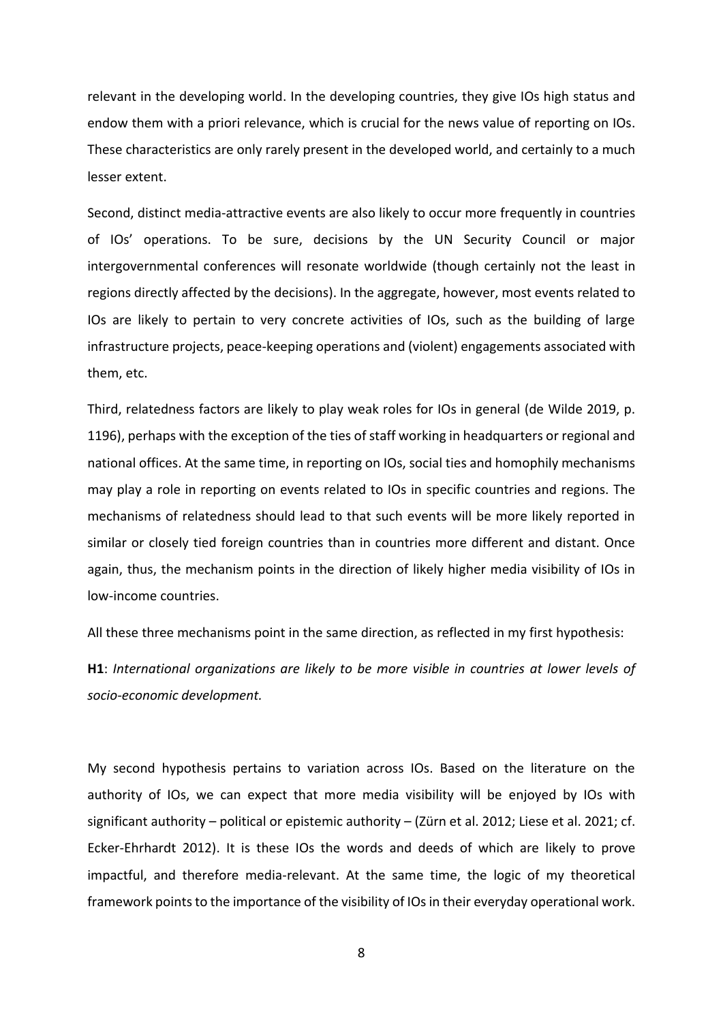relevant in the developing world. In the developing countries, they give IOs high status and endow them with a priori relevance, which is crucial for the news value of reporting on IOs. These characteristics are only rarely present in the developed world, and certainly to a much lesser extent.

Second, distinct media-attractive events are also likely to occur more frequently in countries of IOs' operations. To be sure, decisions by the UN Security Council or major intergovernmental conferences will resonate worldwide (though certainly not the least in regions directly affected by the decisions). In the aggregate, however, most events related to IOs are likely to pertain to very concrete activities of IOs, such as the building of large infrastructure projects, peace-keeping operations and (violent) engagements associated with them, etc.

Third, relatedness factors are likely to play weak roles for IOs in general (de Wilde 2019, p. 1196), perhaps with the exception of the ties of staff working in headquarters or regional and national offices. At the same time, in reporting on IOs, social ties and homophily mechanisms may play a role in reporting on events related to IOs in specific countries and regions. The mechanisms of relatedness should lead to that such events will be more likely reported in similar or closely tied foreign countries than in countries more different and distant. Once again, thus, the mechanism points in the direction of likely higher media visibility of IOs in low-income countries.

All these three mechanisms point in the same direction, as reflected in my first hypothesis:

**H1**: *International organizations are likely to be more visible in countries at lower levels of socio-economic development.*

My second hypothesis pertains to variation across IOs. Based on the literature on the authority of IOs, we can expect that more media visibility will be enjoyed by IOs with significant authority – political or epistemic authority – (Zürn et al. 2012; Liese et al. 2021; cf. Ecker-Ehrhardt 2012). It is these IOs the words and deeds of which are likely to prove impactful, and therefore media-relevant. At the same time, the logic of my theoretical framework points to the importance of the visibility of IOs in their everyday operational work.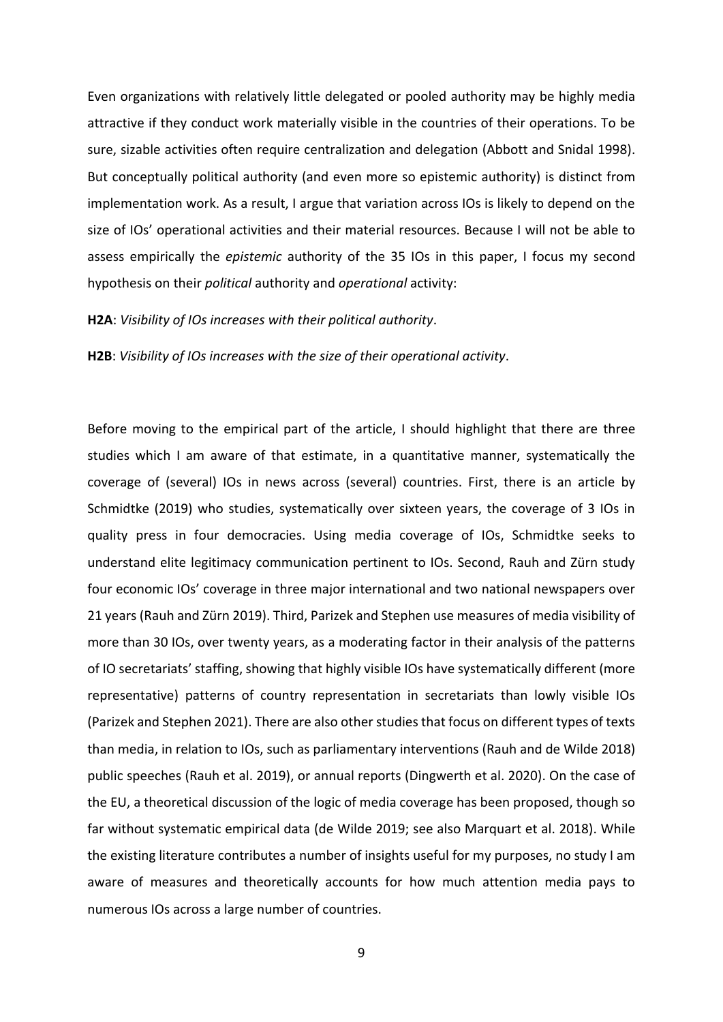Even organizations with relatively little delegated or pooled authority may be highly media attractive if they conduct work materially visible in the countries of their operations. To be sure, sizable activities often require centralization and delegation (Abbott and Snidal 1998). But conceptually political authority (and even more so epistemic authority) is distinct from implementation work. As a result, I argue that variation across IOs is likely to depend on the size of IOs' operational activities and their material resources. Because I will not be able to assess empirically the *epistemic* authority of the 35 IOs in this paper, I focus my second hypothesis on their *political* authority and *operational* activity:

#### **H2A**: *Visibility of IOs increases with their political authority*.

**H2B**: *Visibility of IOs increases with the size of their operational activity*.

Before moving to the empirical part of the article, I should highlight that there are three studies which I am aware of that estimate, in a quantitative manner, systematically the coverage of (several) IOs in news across (several) countries. First, there is an article by Schmidtke (2019) who studies, systematically over sixteen years, the coverage of 3 IOs in quality press in four democracies. Using media coverage of IOs, Schmidtke seeks to understand elite legitimacy communication pertinent to IOs. Second, Rauh and Zürn study four economic IOs' coverage in three major international and two national newspapers over 21 years (Rauh and Zürn 2019). Third, Parizek and Stephen use measures of media visibility of more than 30 IOs, over twenty years, as a moderating factor in their analysis of the patterns of IO secretariats' staffing, showing that highly visible IOs have systematically different (more representative) patterns of country representation in secretariats than lowly visible IOs (Parizek and Stephen 2021). There are also other studies that focus on different types of texts than media, in relation to IOs, such as parliamentary interventions (Rauh and de Wilde 2018) public speeches (Rauh et al. 2019), or annual reports (Dingwerth et al. 2020). On the case of the EU, a theoretical discussion of the logic of media coverage has been proposed, though so far without systematic empirical data (de Wilde 2019; see also Marquart et al. 2018). While the existing literature contributes a number of insights useful for my purposes, no study I am aware of measures and theoretically accounts for how much attention media pays to numerous IOs across a large number of countries.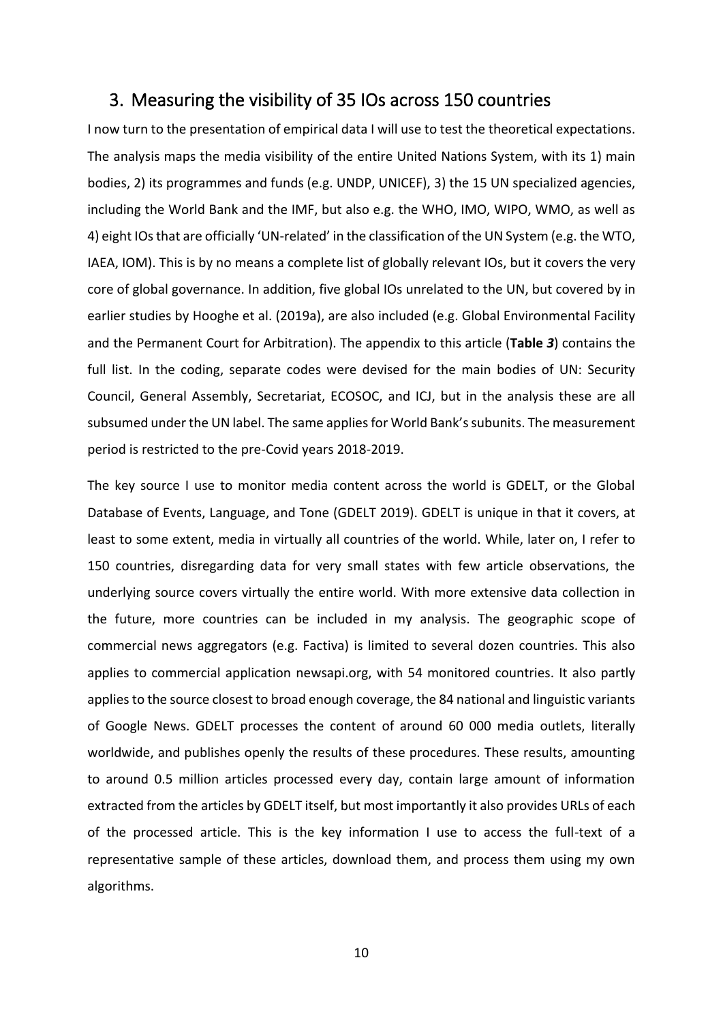## 3. Measuring the visibility of 35 IOs across 150 countries

I now turn to the presentation of empirical data I will use to test the theoretical expectations. The analysis maps the media visibility of the entire United Nations System, with its 1) main bodies, 2) its programmes and funds (e.g. UNDP, UNICEF), 3) the 15 UN specialized agencies, including the World Bank and the IMF, but also e.g. the WHO, IMO, WIPO, WMO, as well as 4) eight IOs that are officially 'UN-related' in the classification of the UN System (e.g. the WTO, IAEA, IOM). This is by no means a complete list of globally relevant IOs, but it covers the very core of global governance. In addition, five global IOs unrelated to the UN, but covered by in earlier studies by Hooghe et al. (2019a), are also included (e.g. Global Environmental Facility and the Permanent Court for Arbitration). The appendix to this article (**[Table](#page-32-0)** *3*) contains the full list. In the coding, separate codes were devised for the main bodies of UN: Security Council, General Assembly, Secretariat, ECOSOC, and ICJ, but in the analysis these are all subsumed under the UN label. The same applies for World Bank's subunits. The measurement period is restricted to the pre-Covid years 2018-2019.

The key source I use to monitor media content across the world is GDELT, or the Global Database of Events, Language, and Tone (GDELT 2019). GDELT is unique in that it covers, at least to some extent, media in virtually all countries of the world. While, later on, I refer to 150 countries, disregarding data for very small states with few article observations, the underlying source covers virtually the entire world. With more extensive data collection in the future, more countries can be included in my analysis. The geographic scope of commercial news aggregators (e.g. Factiva) is limited to several dozen countries. This also applies to commercial application newsapi.org, with 54 monitored countries. It also partly applies to the source closest to broad enough coverage, the 84 national and linguistic variants of Google News. GDELT processes the content of around 60 000 media outlets, literally worldwide, and publishes openly the results of these procedures. These results, amounting to around 0.5 million articles processed every day, contain large amount of information extracted from the articles by GDELT itself, but most importantly it also provides URLs of each of the processed article. This is the key information I use to access the full-text of a representative sample of these articles, download them, and process them using my own algorithms.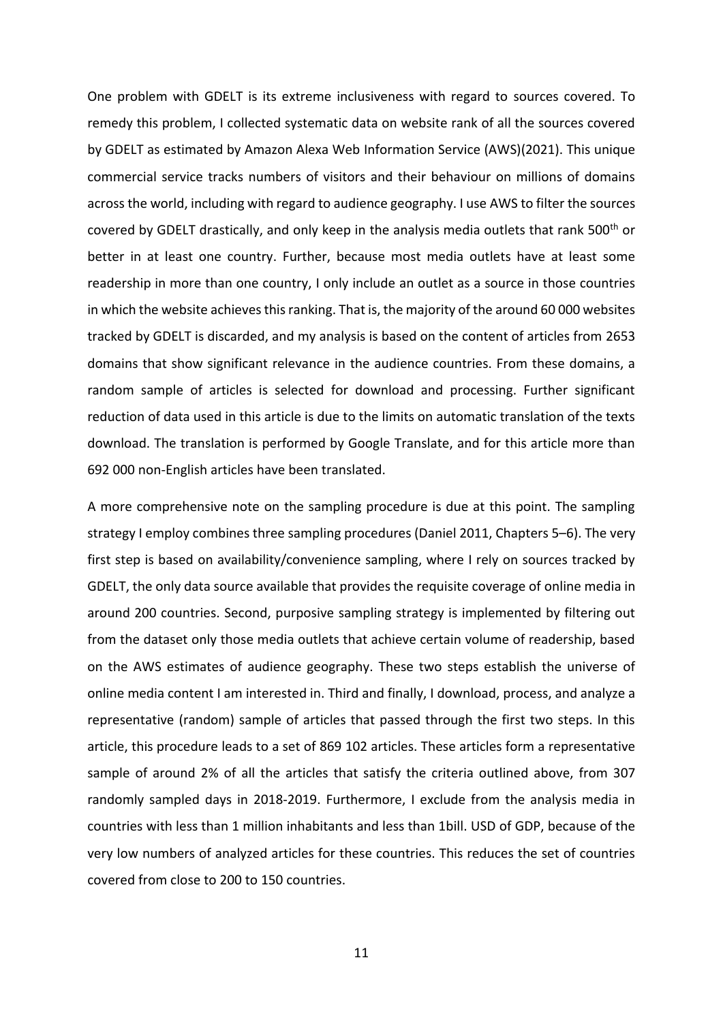One problem with GDELT is its extreme inclusiveness with regard to sources covered. To remedy this problem, I collected systematic data on website rank of all the sources covered by GDELT as estimated by Amazon Alexa Web Information Service (AWS)(2021). This unique commercial service tracks numbers of visitors and their behaviour on millions of domains across the world, including with regard to audience geography. I use AWS to filter the sources covered by GDELT drastically, and only keep in the analysis media outlets that rank 500<sup>th</sup> or better in at least one country. Further, because most media outlets have at least some readership in more than one country, I only include an outlet as a source in those countries in which the website achieves this ranking. That is, the majority of the around 60 000 websites tracked by GDELT is discarded, and my analysis is based on the content of articles from 2653 domains that show significant relevance in the audience countries. From these domains, a random sample of articles is selected for download and processing. Further significant reduction of data used in this article is due to the limits on automatic translation of the texts download. The translation is performed by Google Translate, and for this article more than 692 000 non-English articles have been translated.

A more comprehensive note on the sampling procedure is due at this point. The sampling strategy I employ combines three sampling procedures (Daniel 2011, Chapters 5–6). The very first step is based on availability/convenience sampling, where I rely on sources tracked by GDELT, the only data source available that provides the requisite coverage of online media in around 200 countries. Second, purposive sampling strategy is implemented by filtering out from the dataset only those media outlets that achieve certain volume of readership, based on the AWS estimates of audience geography. These two steps establish the universe of online media content I am interested in. Third and finally, I download, process, and analyze a representative (random) sample of articles that passed through the first two steps. In this article, this procedure leads to a set of 869 102 articles. These articles form a representative sample of around 2% of all the articles that satisfy the criteria outlined above, from 307 randomly sampled days in 2018-2019. Furthermore, I exclude from the analysis media in countries with less than 1 million inhabitants and less than 1bill. USD of GDP, because of the very low numbers of analyzed articles for these countries. This reduces the set of countries covered from close to 200 to 150 countries.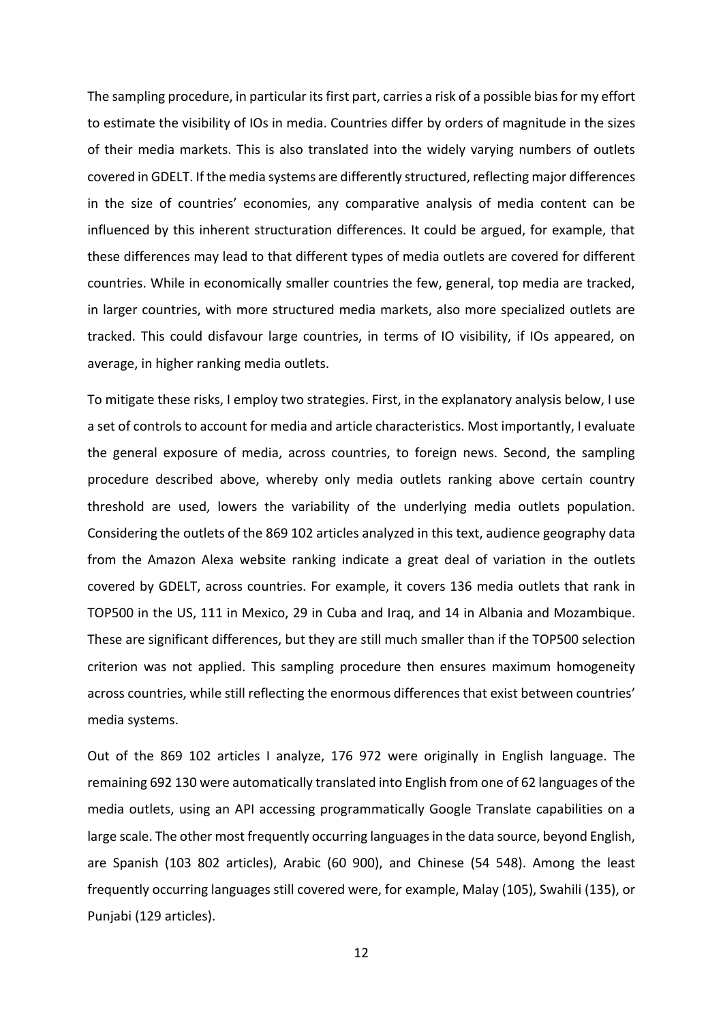The sampling procedure, in particular its first part, carries a risk of a possible bias for my effort to estimate the visibility of IOs in media. Countries differ by orders of magnitude in the sizes of their media markets. This is also translated into the widely varying numbers of outlets covered in GDELT. If the media systems are differently structured, reflecting major differences in the size of countries' economies, any comparative analysis of media content can be influenced by this inherent structuration differences. It could be argued, for example, that these differences may lead to that different types of media outlets are covered for different countries. While in economically smaller countries the few, general, top media are tracked, in larger countries, with more structured media markets, also more specialized outlets are tracked. This could disfavour large countries, in terms of IO visibility, if IOs appeared, on average, in higher ranking media outlets.

To mitigate these risks, I employ two strategies. First, in the explanatory analysis below, I use a set of controls to account for media and article characteristics. Most importantly, I evaluate the general exposure of media, across countries, to foreign news. Second, the sampling procedure described above, whereby only media outlets ranking above certain country threshold are used, lowers the variability of the underlying media outlets population. Considering the outlets of the 869 102 articles analyzed in this text, audience geography data from the Amazon Alexa website ranking indicate a great deal of variation in the outlets covered by GDELT, across countries. For example, it covers 136 media outlets that rank in TOP500 in the US, 111 in Mexico, 29 in Cuba and Iraq, and 14 in Albania and Mozambique. These are significant differences, but they are still much smaller than if the TOP500 selection criterion was not applied. This sampling procedure then ensures maximum homogeneity across countries, while still reflecting the enormous differences that exist between countries' media systems.

Out of the 869 102 articles I analyze, 176 972 were originally in English language. The remaining 692 130 were automatically translated into English from one of 62 languages of the media outlets, using an API accessing programmatically Google Translate capabilities on a large scale. The other most frequently occurring languages in the data source, beyond English, are Spanish (103 802 articles), Arabic (60 900), and Chinese (54 548). Among the least frequently occurring languages still covered were, for example, Malay (105), Swahili (135), or Punjabi (129 articles).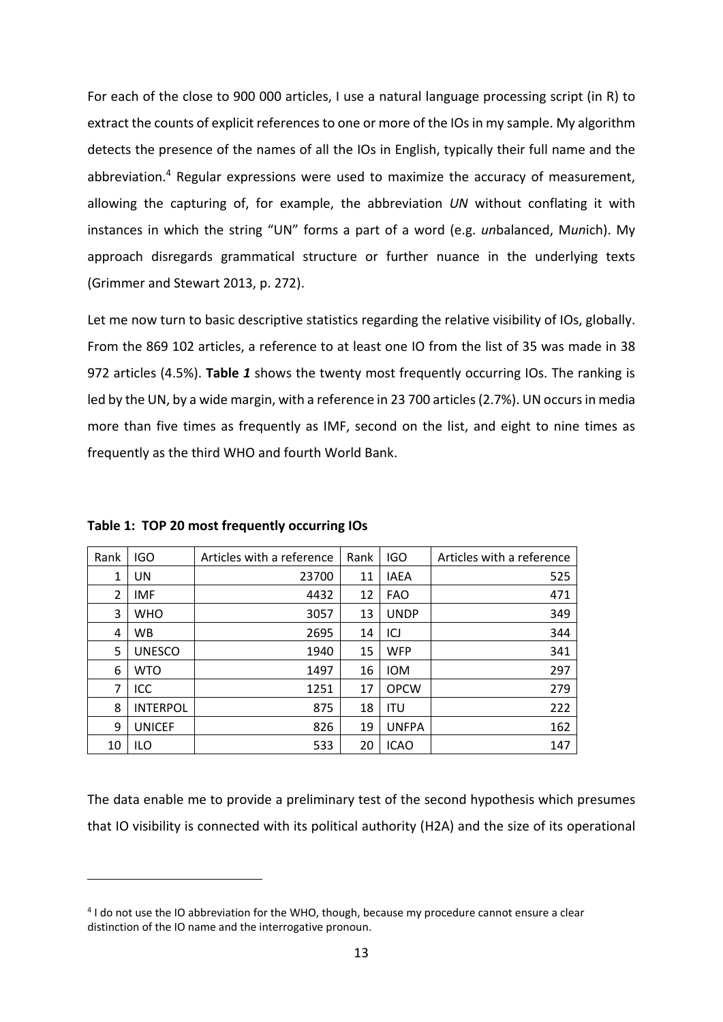For each of the close to 900 000 articles, I use a natural language processing script (in R) to extract the counts of explicit references to one or more of the IOs in my sample. My algorithm detects the presence of the names of all the IOs in English, typically their full name and the abbreviation.<sup>4</sup> Regular expressions were used to maximize the accuracy of measurement, allowing the capturing of, for example, the abbreviation *UN* without conflating it with instances in which the string "UN" forms a part of a word (e.g. *un*balanced, M*un*ich). My approach disregards grammatical structure or further nuance in the underlying texts (Grimmer and Stewart 2013, p. 272).

Let me now turn to basic descriptive statistics regarding the relative visibility of IOs, globally. From the 869 102 articles, a reference to at least one IO from the list of 35 was made in 38 972 articles (4.5%). **[Table](#page-12-0)** *1* shows the twenty most frequently occurring IOs. The ranking is led by the UN, by a wide margin, with a reference in 23 700 articles (2.7%). UN occurs in media more than five times as frequently as IMF, second on the list, and eight to nine times as frequently as the third WHO and fourth World Bank.

| Rank           | <b>IGO</b>      | Articles with a reference | Rank | <b>IGO</b>   | Articles with a reference |
|----------------|-----------------|---------------------------|------|--------------|---------------------------|
| 1              | UN              | 23700                     | 11   | <b>IAEA</b>  | 525                       |
| $\overline{2}$ | <b>IMF</b>      | 4432                      | 12   | <b>FAO</b>   | 471                       |
| 3              | <b>WHO</b>      | 3057                      | 13   | <b>UNDP</b>  | 349                       |
| 4              | <b>WB</b>       | 2695                      | 14   | ICJ          | 344                       |
| 5              | <b>UNESCO</b>   | 1940                      | 15   | <b>WFP</b>   | 341                       |
| 6              | <b>WTO</b>      | 1497                      | 16   | <b>IOM</b>   | 297                       |
| 7              | ICC             | 1251                      | 17   | <b>OPCW</b>  | 279                       |
| 8              | <b>INTERPOL</b> | 875                       | 18   | <b>ITU</b>   | 222                       |
| 9              | <b>UNICEF</b>   | 826                       | 19   | <b>UNFPA</b> | 162                       |
| 10             | <b>ILO</b>      | 533                       | 20   | <b>ICAO</b>  | 147                       |

<span id="page-12-0"></span>**Table 1: TOP 20 most frequently occurring IOs**

The data enable me to provide a preliminary test of the second hypothesis which presumes that IO visibility is connected with its political authority (H2A) and the size of its operational

<sup>4</sup> I do not use the IO abbreviation for the WHO, though, because my procedure cannot ensure a clear distinction of the IO name and the interrogative pronoun.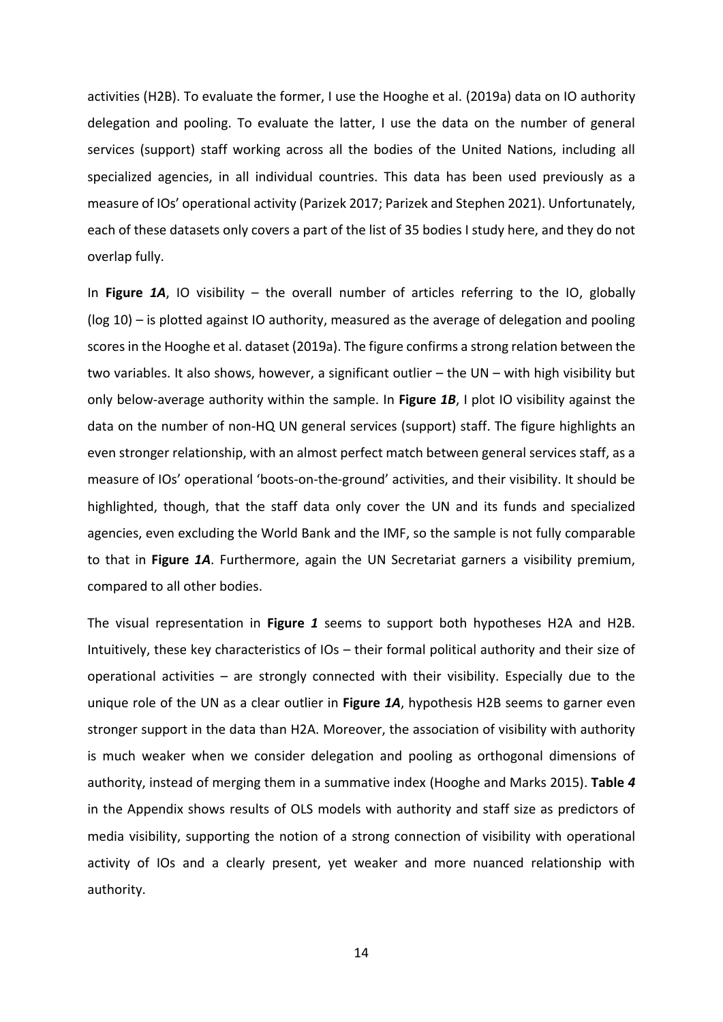activities (H2B). To evaluate the former, I use the Hooghe et al. (2019a) data on IO authority delegation and pooling. To evaluate the latter, I use the data on the number of general services (support) staff working across all the bodies of the United Nations, including all specialized agencies, in all individual countries. This data has been used previously as a measure of IOs' operational activity (Parizek 2017; Parizek and Stephen 2021). Unfortunately, each of these datasets only covers a part of the list of 35 bodies I study here, and they do not overlap fully.

In **[Figure](#page-14-0)** *1A*, IO visibility – the overall number of articles referring to the IO, globally (log 10) – is plotted against IO authority, measured as the average of delegation and pooling scores in the Hooghe et al. dataset (2019a). The figure confirms a strong relation between the two variables. It also shows, however, a significant outlier – the UN – with high visibility but only below-average authority within the sample. In **[Figure](#page-14-0)** *1B*, I plot IO visibility against the data on the number of non-HQ UN general services (support) staff. The figure highlights an even stronger relationship, with an almost perfect match between general services staff, as a measure of IOs' operational 'boots-on-the-ground' activities, and their visibility. It should be highlighted, though, that the staff data only cover the UN and its funds and specialized agencies, even excluding the World Bank and the IMF, so the sample is not fully comparable to that in **[Figure](#page-14-0)** *1A*. Furthermore, again the UN Secretariat garners a visibility premium, compared to all other bodies.

The visual representation in **[Figure](#page-14-0)** *1* seems to support both hypotheses H2A and H2B. Intuitively, these key characteristics of IOs – their formal political authority and their size of operational activities – are strongly connected with their visibility. Especially due to the unique role of the UN as a clear outlier in **[Figure](#page-14-0)** *1A*, hypothesis H2B seems to garner even stronger support in the data than H2A. Moreover, the association of visibility with authority is much weaker when we consider delegation and pooling as orthogonal dimensions of authority, instead of merging them in a summative index (Hooghe and Marks 2015). **[Table](#page-33-0)** *4* in the Appendix shows results of OLS models with authority and staff size as predictors of media visibility, supporting the notion of a strong connection of visibility with operational activity of IOs and a clearly present, yet weaker and more nuanced relationship with authority.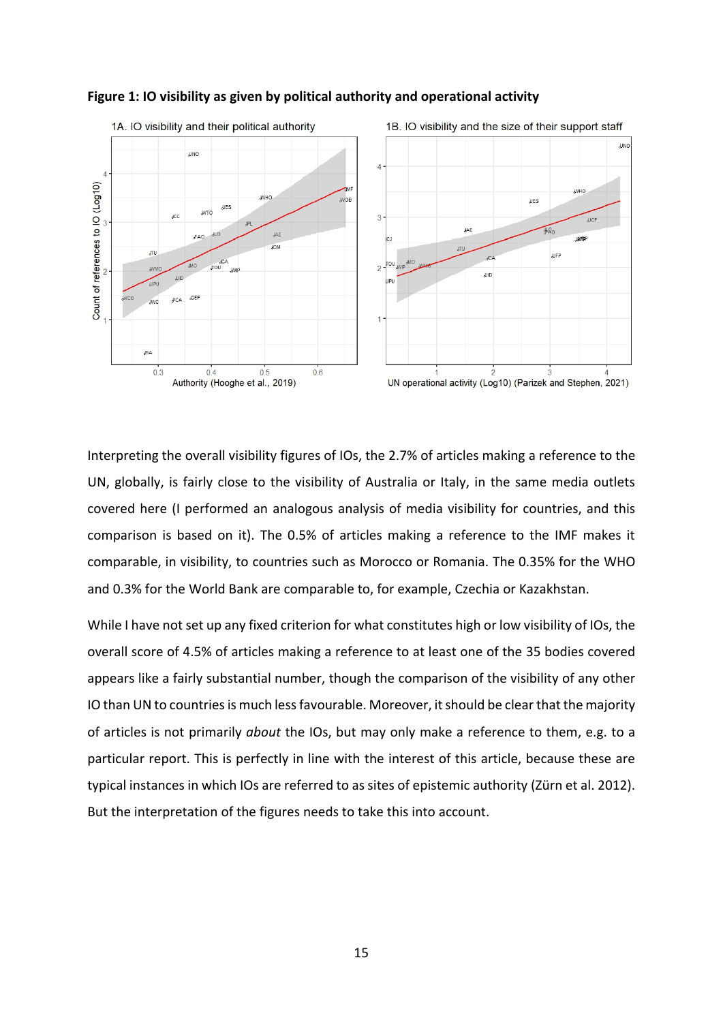

#### <span id="page-14-0"></span>**Figure 1: IO visibility as given by political authority and operational activity**

Interpreting the overall visibility figures of IOs, the 2.7% of articles making a reference to the UN, globally, is fairly close to the visibility of Australia or Italy, in the same media outlets covered here (I performed an analogous analysis of media visibility for countries, and this comparison is based on it). The 0.5% of articles making a reference to the IMF makes it comparable, in visibility, to countries such as Morocco or Romania. The 0.35% for the WHO and 0.3% for the World Bank are comparable to, for example, Czechia or Kazakhstan.

While I have not set up any fixed criterion for what constitutes high or low visibility of IOs, the overall score of 4.5% of articles making a reference to at least one of the 35 bodies covered appears like a fairly substantial number, though the comparison of the visibility of any other IO than UN to countries is much less favourable. Moreover, it should be clear that the majority of articles is not primarily *about* the IOs, but may only make a reference to them, e.g. to a particular report. This is perfectly in line with the interest of this article, because these are typical instances in which IOs are referred to as sites of epistemic authority (Zürn et al. 2012). But the interpretation of the figures needs to take this into account.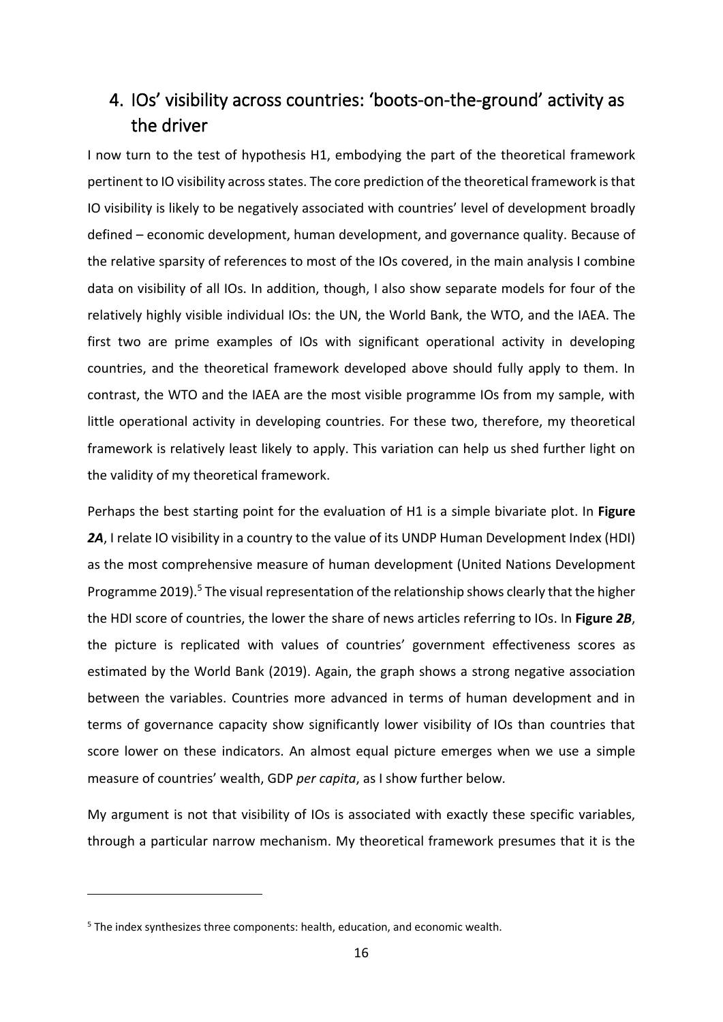## 4. IOs' visibility across countries: 'boots-on-the-ground' activity as the driver

I now turn to the test of hypothesis H1, embodying the part of the theoretical framework pertinent to IO visibility across states. The core prediction of the theoretical framework is that IO visibility is likely to be negatively associated with countries' level of development broadly defined – economic development, human development, and governance quality. Because of the relative sparsity of references to most of the IOs covered, in the main analysis I combine data on visibility of all IOs. In addition, though, I also show separate models for four of the relatively highly visible individual IOs: the UN, the World Bank, the WTO, and the IAEA. The first two are prime examples of IOs with significant operational activity in developing countries, and the theoretical framework developed above should fully apply to them. In contrast, the WTO and the IAEA are the most visible programme IOs from my sample, with little operational activity in developing countries. For these two, therefore, my theoretical framework is relatively least likely to apply. This variation can help us shed further light on the validity of my theoretical framework.

Perhaps the best starting point for the evaluation of H1 is a simple bivariate plot. In **[Figure](#page-16-0)**  *[2A](#page-16-0)*, I relate IO visibility in a country to the value of its UNDP Human Development Index (HDI) as the most comprehensive measure of human development (United Nations Development Programme 2019).<sup>5</sup> The visual representation of the relationship shows clearly that the higher the HDI score of countries, the lower the share of news articles referring to IOs. In **[Figure](#page-16-0)** *2B*, the picture is replicated with values of countries' government effectiveness scores as estimated by the World Bank (2019). Again, the graph shows a strong negative association between the variables. Countries more advanced in terms of human development and in terms of governance capacity show significantly lower visibility of IOs than countries that score lower on these indicators. An almost equal picture emerges when we use a simple measure of countries' wealth, GDP *per capita*, as I show further below*.*

My argument is not that visibility of IOs is associated with exactly these specific variables, through a particular narrow mechanism. My theoretical framework presumes that it is the

 $5$  The index synthesizes three components: health, education, and economic wealth.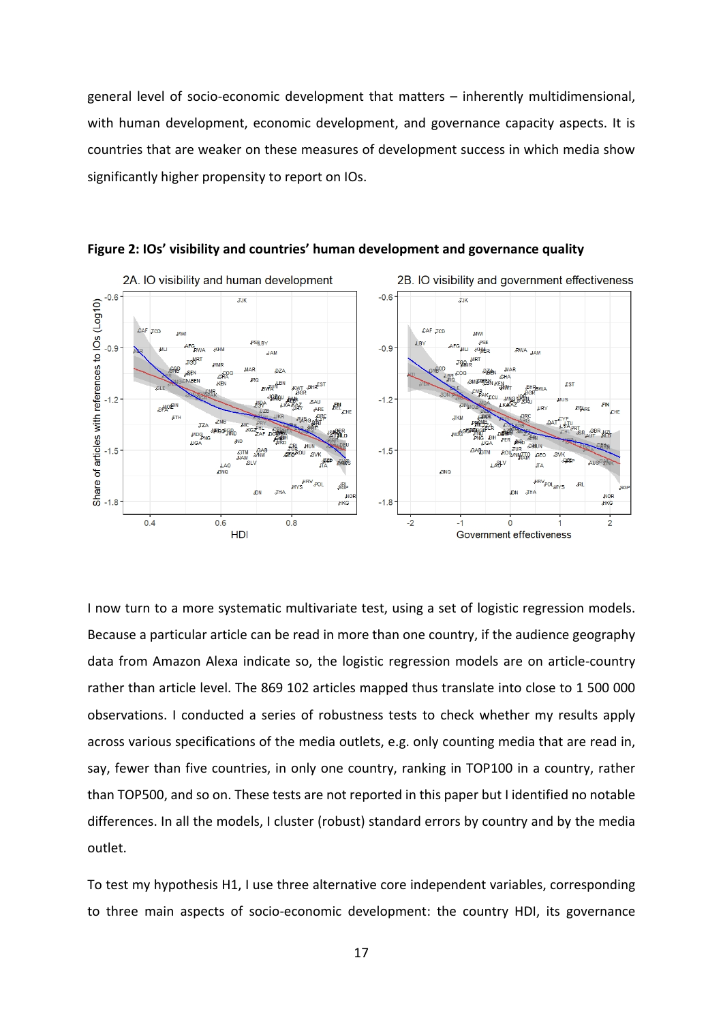general level of socio-economic development that matters – inherently multidimensional, with human development, economic development, and governance capacity aspects. It is countries that are weaker on these measures of development success in which media show significantly higher propensity to report on IOs.



<span id="page-16-0"></span>**Figure 2: IOs' visibility and countries' human development and governance quality**

I now turn to a more systematic multivariate test, using a set of logistic regression models. Because a particular article can be read in more than one country, if the audience geography data from Amazon Alexa indicate so, the logistic regression models are on article-country rather than article level. The 869 102 articles mapped thus translate into close to 1 500 000 observations. I conducted a series of robustness tests to check whether my results apply across various specifications of the media outlets, e.g. only counting media that are read in, say, fewer than five countries, in only one country, ranking in TOP100 in a country, rather than TOP500, and so on. These tests are not reported in this paper but I identified no notable differences. In all the models, I cluster (robust) standard errors by country and by the media outlet.

To test my hypothesis H1, I use three alternative core independent variables, corresponding to three main aspects of socio-economic development: the country HDI, its governance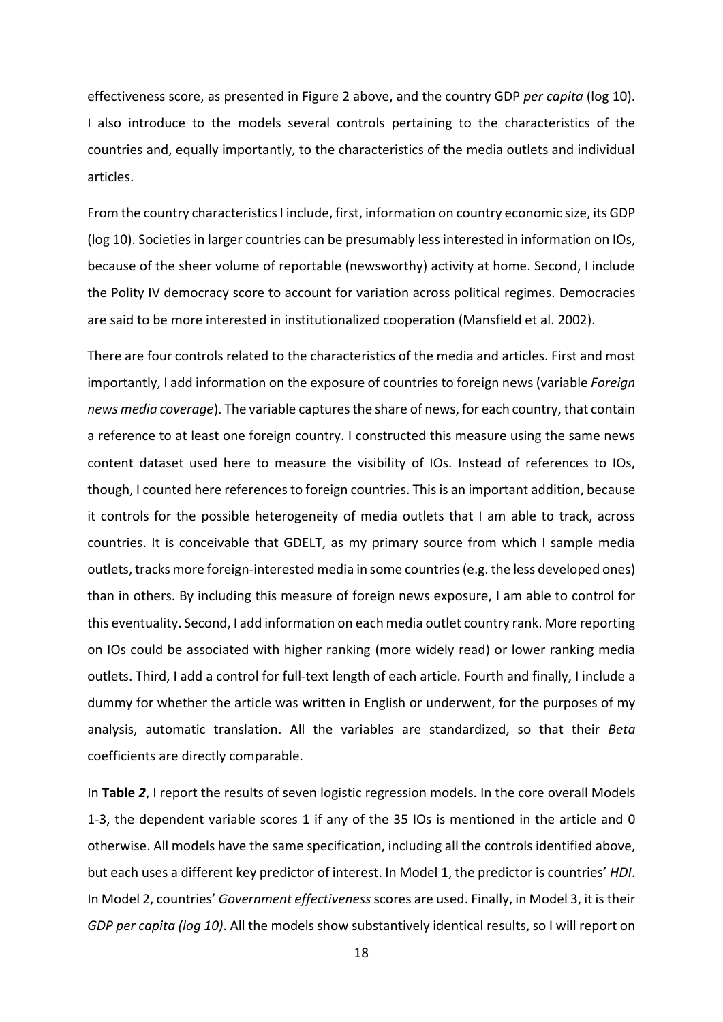effectiveness score, as presented in Figure 2 above, and the country GDP *per capita* (log 10). I also introduce to the models several controls pertaining to the characteristics of the countries and, equally importantly, to the characteristics of the media outlets and individual articles.

From the country characteristics I include, first, information on country economic size, its GDP (log 10). Societies in larger countries can be presumably less interested in information on IOs, because of the sheer volume of reportable (newsworthy) activity at home. Second, I include the Polity IV democracy score to account for variation across political regimes. Democracies are said to be more interested in institutionalized cooperation (Mansfield et al. 2002).

There are four controls related to the characteristics of the media and articles. First and most importantly, I add information on the exposure of countries to foreign news (variable *Foreign news media coverage*). The variable captures the share of news, for each country, that contain a reference to at least one foreign country. I constructed this measure using the same news content dataset used here to measure the visibility of IOs. Instead of references to IOs, though, I counted here references to foreign countries. This is an important addition, because it controls for the possible heterogeneity of media outlets that I am able to track, across countries. It is conceivable that GDELT, as my primary source from which I sample media outlets, tracks more foreign-interested media in some countries (e.g. the less developed ones) than in others. By including this measure of foreign news exposure, I am able to control for this eventuality. Second, I add information on each media outlet country rank. More reporting on IOs could be associated with higher ranking (more widely read) or lower ranking media outlets. Third, I add a control for full-text length of each article. Fourth and finally, I include a dummy for whether the article was written in English or underwent, for the purposes of my analysis, automatic translation. All the variables are standardized, so that their *Beta* coefficients are directly comparable.

In **[Table](#page-19-0)** *2*, I report the results of seven logistic regression models. In the core overall Models 1-3, the dependent variable scores 1 if any of the 35 IOs is mentioned in the article and 0 otherwise. All models have the same specification, including all the controls identified above, but each uses a different key predictor of interest. In Model 1, the predictor is countries' *HDI*. In Model 2, countries' *Government effectiveness*scores are used. Finally, in Model 3, it istheir *GDP per capita (log 10)*. All the models show substantively identical results, so I will report on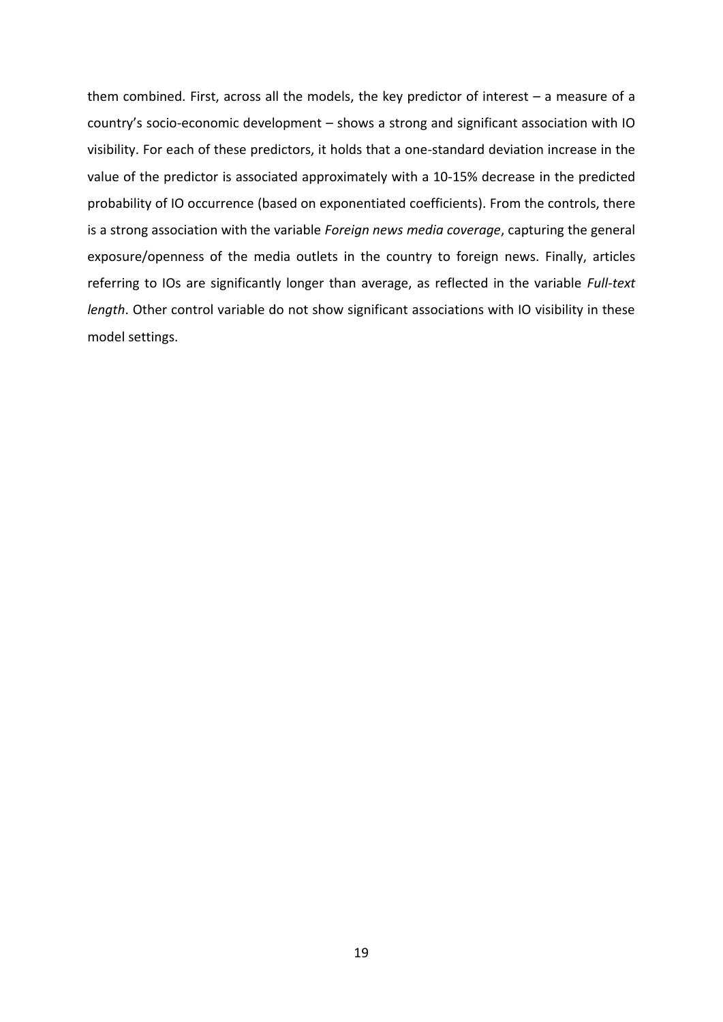them combined. First, across all the models, the key predictor of interest – a measure of a country's socio-economic development – shows a strong and significant association with IO visibility. For each of these predictors, it holds that a one-standard deviation increase in the value of the predictor is associated approximately with a 10-15% decrease in the predicted probability of IO occurrence (based on exponentiated coefficients). From the controls, there is a strong association with the variable *Foreign news media coverage*, capturing the general exposure/openness of the media outlets in the country to foreign news. Finally, articles referring to IOs are significantly longer than average, as reflected in the variable *Full-text length*. Other control variable do not show significant associations with IO visibility in these model settings.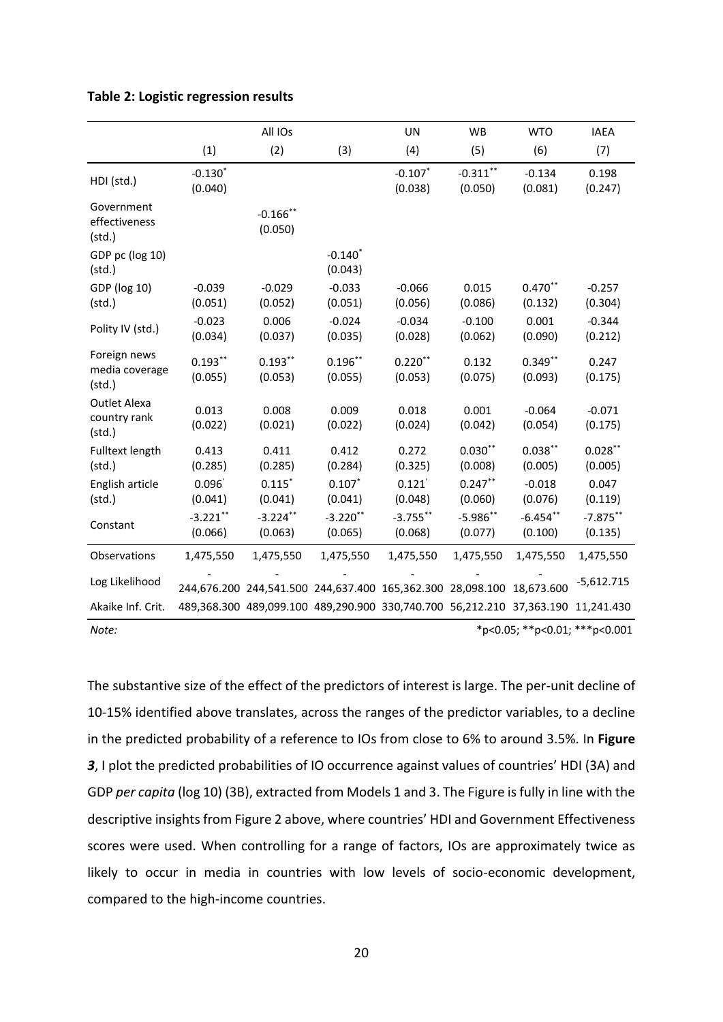<span id="page-19-0"></span>

|  |  | Table 2: Logistic regression results |  |
|--|--|--------------------------------------|--|
|--|--|--------------------------------------|--|

|                                                |                        | All IOs                |                       | UN                                                                               | WB                     | <b>WTO</b>            | <b>IAEA</b>            |
|------------------------------------------------|------------------------|------------------------|-----------------------|----------------------------------------------------------------------------------|------------------------|-----------------------|------------------------|
|                                                | (1)                    | (2)                    | (3)                   | (4)                                                                              | (5)                    | (6)                   | (7)                    |
| HDI (std.)                                     | $-0.130*$<br>(0.040)   |                        |                       | $-0.107$ *<br>(0.038)                                                            | $-0.311***$<br>(0.050) | $-0.134$<br>(0.081)   | 0.198<br>(0.247)       |
| Government<br>effectiveness<br>(stat.)         |                        | $-0.166$ **<br>(0.050) |                       |                                                                                  |                        |                       |                        |
| GDP pc (log 10)<br>(stat.)                     |                        |                        | $-0.140*$<br>(0.043)  |                                                                                  |                        |                       |                        |
| GDP (log 10)<br>(stat.)                        | $-0.039$<br>(0.051)    | $-0.029$<br>(0.052)    | $-0.033$<br>(0.051)   | $-0.066$<br>(0.056)                                                              | 0.015<br>(0.086)       | $0.470**$<br>(0.132)  | $-0.257$<br>(0.304)    |
| Polity IV (std.)                               | $-0.023$<br>(0.034)    | 0.006<br>(0.037)       | $-0.024$<br>(0.035)   | $-0.034$<br>(0.028)                                                              | $-0.100$<br>(0.062)    | 0.001<br>(0.090)      | $-0.344$<br>(0.212)    |
| Foreign news<br>media coverage<br>(stat.)      | $0.193***$<br>(0.055)  | $0.193***$<br>(0.053)  | $0.196***$<br>(0.055) | $0.220**$<br>(0.053)                                                             | 0.132<br>(0.075)       | $0.349**$<br>(0.093)  | 0.247<br>(0.175)       |
| <b>Outlet Alexa</b><br>country rank<br>(stat.) | 0.013<br>(0.022)       | 0.008<br>(0.021)       | 0.009<br>(0.022)      | 0.018<br>(0.024)                                                                 | 0.001<br>(0.042)       | $-0.064$<br>(0.054)   | $-0.071$<br>(0.175)    |
| <b>Fulltext length</b><br>(stat.)              | 0.413<br>(0.285)       | 0.411<br>(0.285)       | 0.412<br>(0.284)      | 0.272<br>(0.325)                                                                 | $0.030**$<br>(0.008)   | $0.038***$<br>(0.005) | $0.028***$<br>(0.005)  |
| English article<br>(stat.)                     | 0.096'<br>(0.041)      | $0.115$ *<br>(0.041)   | $0.107*$<br>(0.041)   | 0.121'<br>(0.048)                                                                | $0.247***$<br>(0.060)  | $-0.018$<br>(0.076)   | 0.047<br>(0.119)       |
| Constant                                       | $-3.221$ **<br>(0.066) | $-3.224**$<br>(0.063)  | $-3.220**$<br>(0.065) | $-3.755$ **<br>(0.068)                                                           | $-5.986**$<br>(0.077)  | $-6.454**$<br>(0.100) | $-7.875***$<br>(0.135) |
| Observations                                   | 1,475,550              | 1,475,550              | 1,475,550             | 1,475,550                                                                        | 1,475,550              | 1,475,550             | 1,475,550              |
| Log Likelihood                                 |                        |                        |                       | 244,676.200 244,541.500 244,637.400 165,362.300 28,098.100                       |                        | 18,673.600            | $-5,612.715$           |
| Akaike Inf. Crit.                              |                        |                        |                       | 489,368.300 489,099.100 489,290.900 330,740.700 56,212.210 37,363.190 11,241.430 |                        |                       |                        |

The substantive size of the effect of the predictors of interest is large. The per-unit decline of 10-15% identified above translates, across the ranges of the predictor variables, to a decline in the predicted probability of a reference to IOs from close to 6% to around 3.5%. In **[Figure](#page-20-0)**  *[3](#page-20-0)*, I plot the predicted probabilities of IO occurrence against values of countries' HDI (3A) and GDP *per capita* (log 10) (3B), extracted from Models 1 and 3. The Figure is fully in line with the descriptive insights from Figure 2 above, where countries' HDI and Government Effectiveness scores were used. When controlling for a range of factors, IOs are approximately twice as likely to occur in media in countries with low levels of socio-economic development, compared to the high-income countries.

*Note:* \*p<0.05; \*\*p<0.01; \*\*\*p<0.001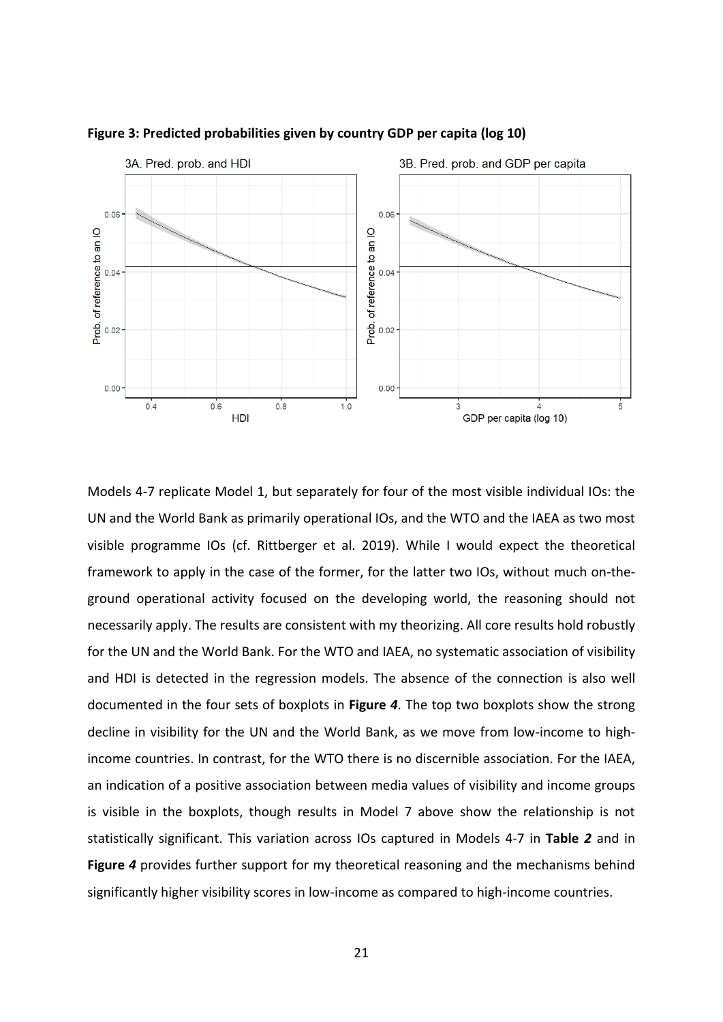

<span id="page-20-0"></span>**Figure 3: Predicted probabilities given by country GDP per capita (log 10)**

Models 4-7 replicate Model 1, but separately for four of the most visible individual IOs: the UN and the World Bank as primarily operational IOs, and the WTO and the IAEA as two most visible programme IOs (cf. Rittberger et al. 2019). While I would expect the theoretical framework to apply in the case of the former, for the latter two IOs, without much on-theground operational activity focused on the developing world, the reasoning should not necessarily apply. The results are consistent with my theorizing. All core results hold robustly for the UN and the World Bank. For the WTO and IAEA, no systematic association of visibility and HDI is detected in the regression models. The absence of the connection is also well documented in the four sets of boxplots in **[Figure](#page-21-0)** *4*. The top two boxplots show the strong decline in visibility for the UN and the World Bank, as we move from low-income to highincome countries. In contrast, for the WTO there is no discernible association. For the IAEA, an indication of a positive association between media values of visibility and income groups is visible in the boxplots, though results in Model 7 above show the relationship is not statistically significant. This variation across IOs captured in Models 4-7 in **[Table](#page-19-0)** *2* and in **[Figure](#page-21-0)** *4* provides further support for my theoretical reasoning and the mechanisms behind significantly higher visibility scores in low-income as compared to high-income countries.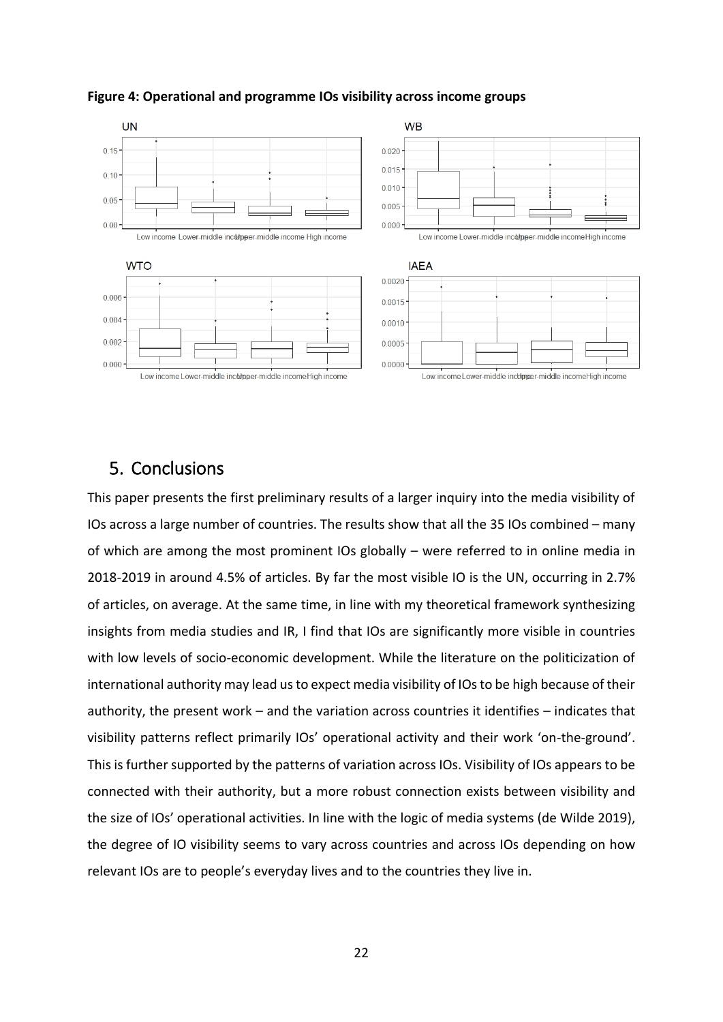

### <span id="page-21-0"></span>**Figure 4: Operational and programme IOs visibility across income groups**

## 5. Conclusions

This paper presents the first preliminary results of a larger inquiry into the media visibility of IOs across a large number of countries. The results show that all the 35 IOs combined – many of which are among the most prominent IOs globally – were referred to in online media in 2018-2019 in around 4.5% of articles. By far the most visible IO is the UN, occurring in 2.7% of articles, on average. At the same time, in line with my theoretical framework synthesizing insights from media studies and IR, I find that IOs are significantly more visible in countries with low levels of socio-economic development. While the literature on the politicization of international authority may lead us to expect media visibility of IOs to be high because of their authority, the present work – and the variation across countries it identifies – indicates that visibility patterns reflect primarily IOs' operational activity and their work 'on-the-ground'. This is further supported by the patterns of variation across IOs. Visibility of IOs appears to be connected with their authority, but a more robust connection exists between visibility and the size of IOs' operational activities. In line with the logic of media systems (de Wilde 2019), the degree of IO visibility seems to vary across countries and across IOs depending on how relevant IOs are to people's everyday lives and to the countries they live in.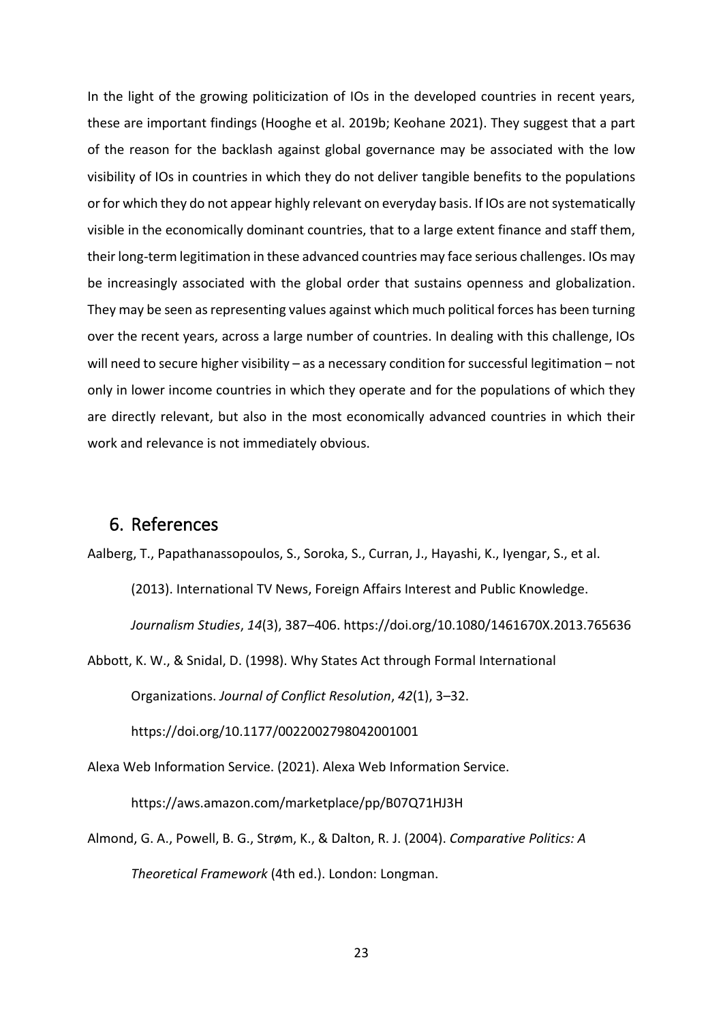In the light of the growing politicization of IOs in the developed countries in recent years, these are important findings (Hooghe et al. 2019b; Keohane 2021). They suggest that a part of the reason for the backlash against global governance may be associated with the low visibility of IOs in countries in which they do not deliver tangible benefits to the populations or for which they do not appear highly relevant on everyday basis. If IOs are not systematically visible in the economically dominant countries, that to a large extent finance and staff them, their long-term legitimation in these advanced countries may face serious challenges. IOs may be increasingly associated with the global order that sustains openness and globalization. They may be seen as representing values against which much political forces has been turning over the recent years, across a large number of countries. In dealing with this challenge, IOs will need to secure higher visibility – as a necessary condition for successful legitimation – not only in lower income countries in which they operate and for the populations of which they are directly relevant, but also in the most economically advanced countries in which their work and relevance is not immediately obvious.

## 6. References

Aalberg, T., Papathanassopoulos, S., Soroka, S., Curran, J., Hayashi, K., Iyengar, S., et al.

(2013). International TV News, Foreign Affairs Interest and Public Knowledge.

*Journalism Studies*, *14*(3), 387–406. https://doi.org/10.1080/1461670X.2013.765636

Abbott, K. W., & Snidal, D. (1998). Why States Act through Formal International

Organizations. *Journal of Conflict Resolution*, *42*(1), 3–32.

https://doi.org/10.1177/0022002798042001001

Alexa Web Information Service. (2021). Alexa Web Information Service.

https://aws.amazon.com/marketplace/pp/B07Q71HJ3H

Almond, G. A., Powell, B. G., Strøm, K., & Dalton, R. J. (2004). *Comparative Politics: A Theoretical Framework* (4th ed.). London: Longman.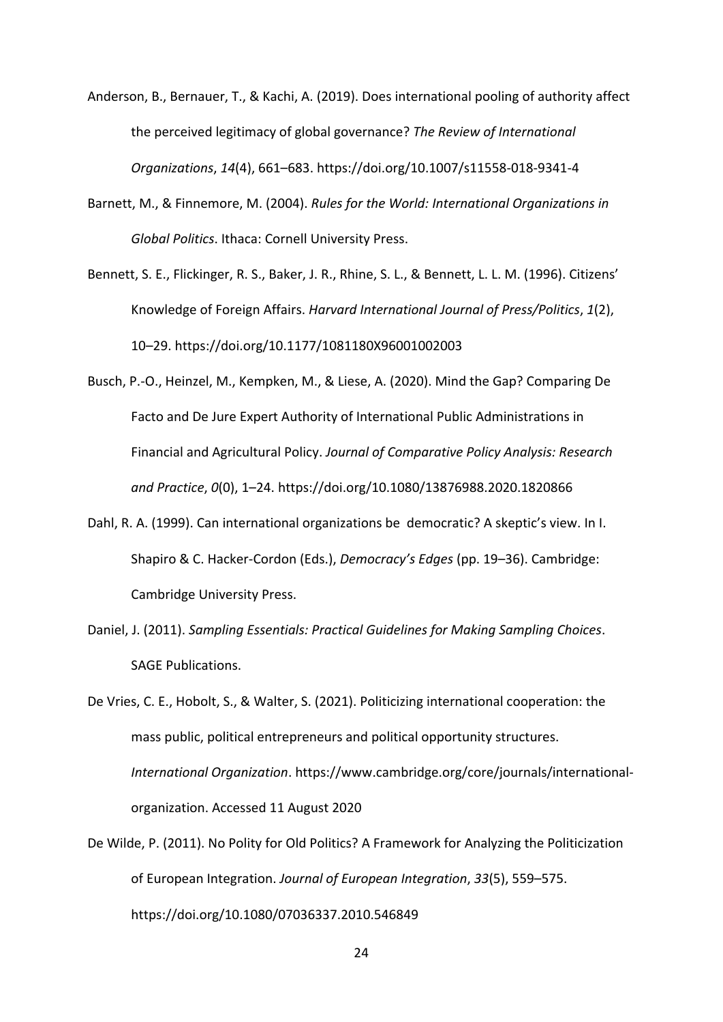- Anderson, B., Bernauer, T., & Kachi, A. (2019). Does international pooling of authority affect the perceived legitimacy of global governance? *The Review of International Organizations*, *14*(4), 661–683. https://doi.org/10.1007/s11558-018-9341-4
- Barnett, M., & Finnemore, M. (2004). *Rules for the World: International Organizations in Global Politics*. Ithaca: Cornell University Press.
- Bennett, S. E., Flickinger, R. S., Baker, J. R., Rhine, S. L., & Bennett, L. L. M. (1996). Citizens' Knowledge of Foreign Affairs. *Harvard International Journal of Press/Politics*, *1*(2), 10–29. https://doi.org/10.1177/1081180X96001002003
- Busch, P.-O., Heinzel, M., Kempken, M., & Liese, A. (2020). Mind the Gap? Comparing De Facto and De Jure Expert Authority of International Public Administrations in Financial and Agricultural Policy. *Journal of Comparative Policy Analysis: Research and Practice*, *0*(0), 1–24. https://doi.org/10.1080/13876988.2020.1820866
- Dahl, R. A. (1999). Can international organizations be democratic? A skeptic's view. In I. Shapiro & C. Hacker-Cordon (Eds.), *Democracy's Edges* (pp. 19–36). Cambridge: Cambridge University Press.
- Daniel, J. (2011). *Sampling Essentials: Practical Guidelines for Making Sampling Choices*. SAGE Publications.
- De Vries, C. E., Hobolt, S., & Walter, S. (2021). Politicizing international cooperation: the mass public, political entrepreneurs and political opportunity structures. *International Organization*. https://www.cambridge.org/core/journals/internationalorganization. Accessed 11 August 2020
- De Wilde, P. (2011). No Polity for Old Politics? A Framework for Analyzing the Politicization of European Integration. *Journal of European Integration*, *33*(5), 559–575. https://doi.org/10.1080/07036337.2010.546849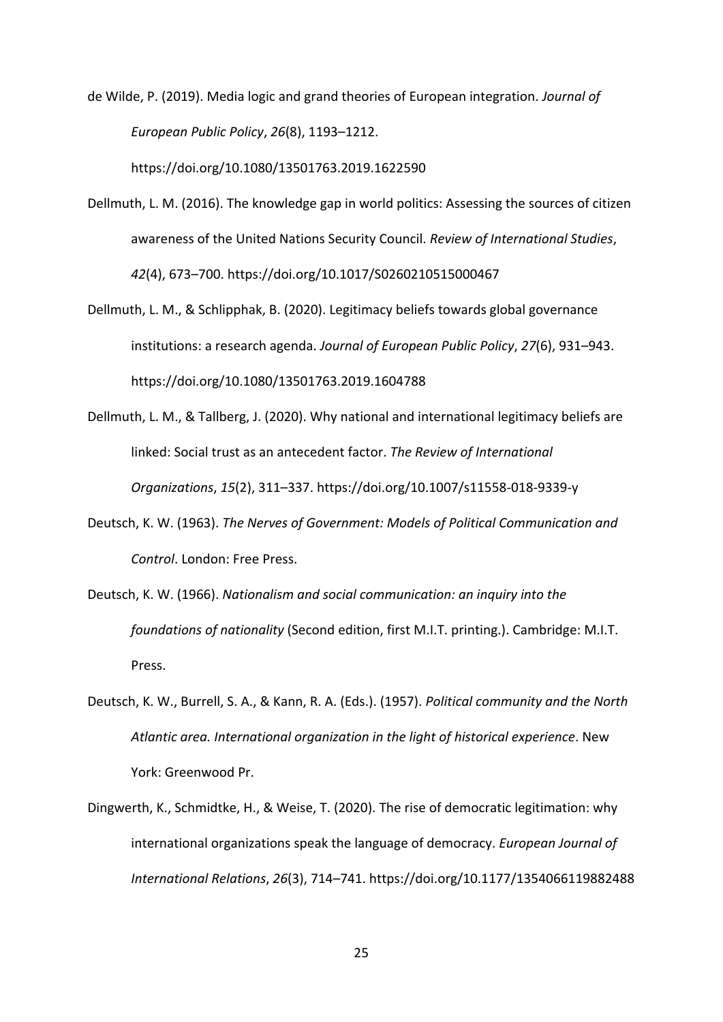de Wilde, P. (2019). Media logic and grand theories of European integration. *Journal of European Public Policy*, *26*(8), 1193–1212.

https://doi.org/10.1080/13501763.2019.1622590

- Dellmuth, L. M. (2016). The knowledge gap in world politics: Assessing the sources of citizen awareness of the United Nations Security Council. *Review of International Studies*, *42*(4), 673–700. https://doi.org/10.1017/S0260210515000467
- Dellmuth, L. M., & Schlipphak, B. (2020). Legitimacy beliefs towards global governance institutions: a research agenda. *Journal of European Public Policy*, *27*(6), 931–943. https://doi.org/10.1080/13501763.2019.1604788
- Dellmuth, L. M., & Tallberg, J. (2020). Why national and international legitimacy beliefs are linked: Social trust as an antecedent factor. *The Review of International Organizations*, *15*(2), 311–337. https://doi.org/10.1007/s11558-018-9339-y
- Deutsch, K. W. (1963). *The Nerves of Government: Models of Political Communication and Control*. London: Free Press.
- Deutsch, K. W. (1966). *Nationalism and social communication: an inquiry into the foundations of nationality* (Second edition, first M.I.T. printing.). Cambridge: M.I.T. Press.
- Deutsch, K. W., Burrell, S. A., & Kann, R. A. (Eds.). (1957). *Political community and the North Atlantic area. International organization in the light of historical experience*. New York: Greenwood Pr.
- Dingwerth, K., Schmidtke, H., & Weise, T. (2020). The rise of democratic legitimation: why international organizations speak the language of democracy. *European Journal of International Relations*, *26*(3), 714–741. https://doi.org/10.1177/1354066119882488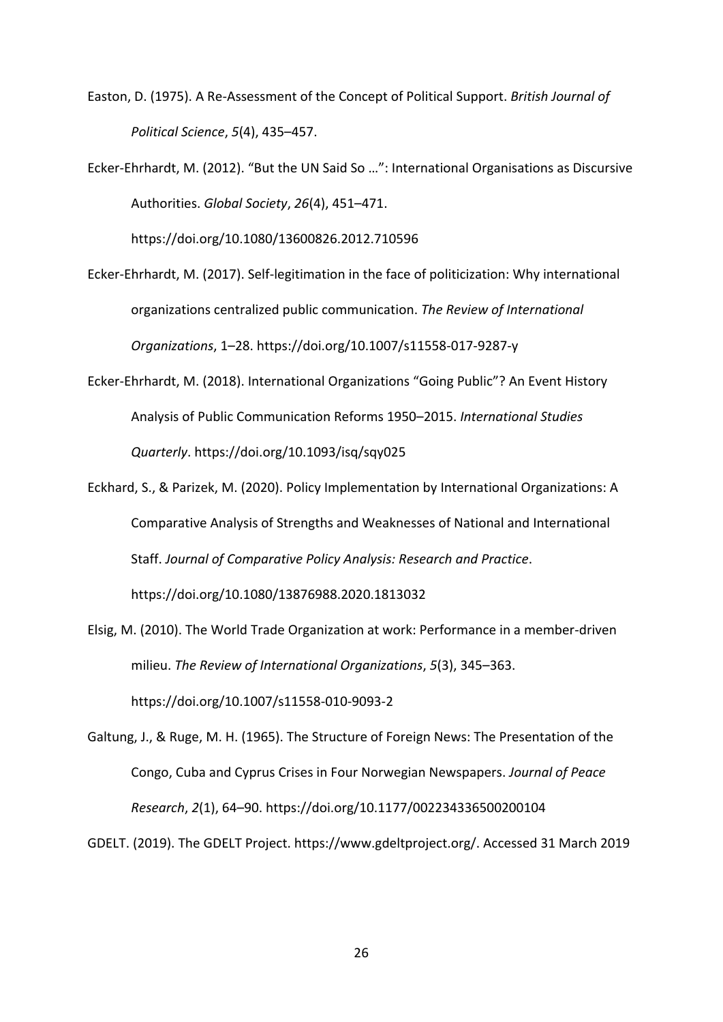Easton, D. (1975). A Re-Assessment of the Concept of Political Support. *British Journal of Political Science*, *5*(4), 435–457.

Ecker-Ehrhardt, M. (2012). "But the UN Said So …": International Organisations as Discursive Authorities. *Global Society*, *26*(4), 451–471.

https://doi.org/10.1080/13600826.2012.710596

- Ecker-Ehrhardt, M. (2017). Self-legitimation in the face of politicization: Why international organizations centralized public communication. *The Review of International Organizations*, 1–28. https://doi.org/10.1007/s11558-017-9287-y
- Ecker-Ehrhardt, M. (2018). International Organizations "Going Public"? An Event History Analysis of Public Communication Reforms 1950–2015. *International Studies Quarterly*. https://doi.org/10.1093/isq/sqy025
- Eckhard, S., & Parizek, M. (2020). Policy Implementation by International Organizations: A Comparative Analysis of Strengths and Weaknesses of National and International Staff. *Journal of Comparative Policy Analysis: Research and Practice*.

https://doi.org/10.1080/13876988.2020.1813032

Elsig, M. (2010). The World Trade Organization at work: Performance in a member-driven milieu. *The Review of International Organizations*, *5*(3), 345–363. https://doi.org/10.1007/s11558-010-9093-2

Galtung, J., & Ruge, M. H. (1965). The Structure of Foreign News: The Presentation of the Congo, Cuba and Cyprus Crises in Four Norwegian Newspapers. *Journal of Peace Research*, *2*(1), 64–90. https://doi.org/10.1177/002234336500200104

GDELT. (2019). The GDELT Project. https://www.gdeltproject.org/. Accessed 31 March 2019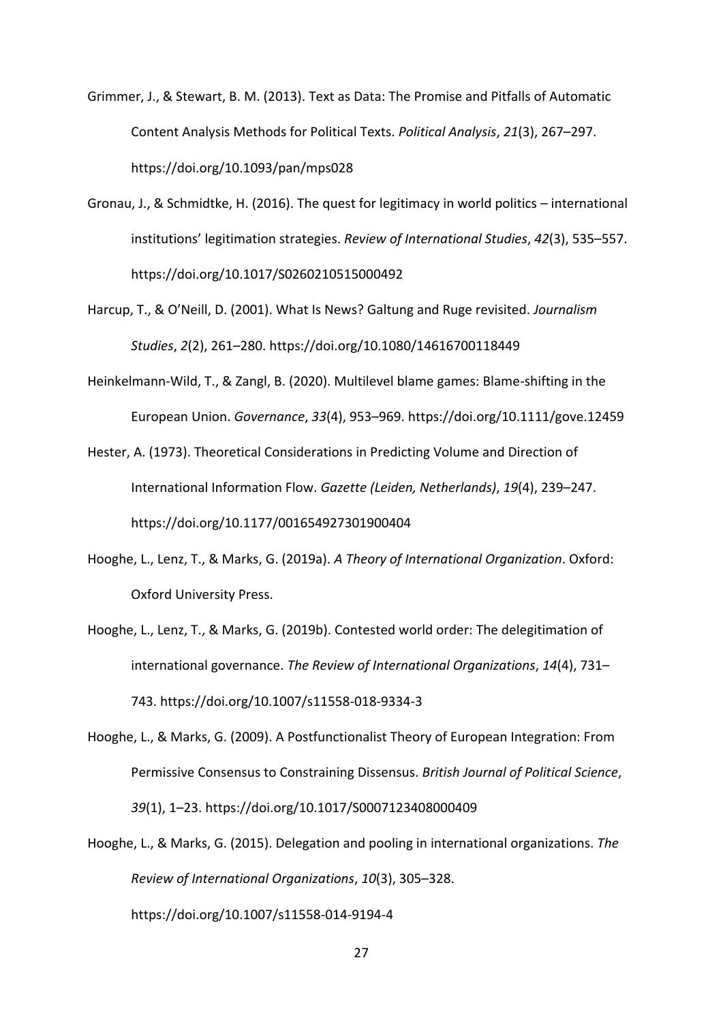Grimmer, J., & Stewart, B. M. (2013). Text as Data: The Promise and Pitfalls of Automatic Content Analysis Methods for Political Texts. *Political Analysis*, *21*(3), 267–297. https://doi.org/10.1093/pan/mps028

- Gronau, J., & Schmidtke, H. (2016). The quest for legitimacy in world politics international institutions' legitimation strategies. *Review of International Studies*, *42*(3), 535–557. https://doi.org/10.1017/S0260210515000492
- Harcup, T., & O'Neill, D. (2001). What Is News? Galtung and Ruge revisited. *Journalism Studies*, *2*(2), 261–280. https://doi.org/10.1080/14616700118449
- Heinkelmann‐Wild, T., & Zangl, B. (2020). Multilevel blame games: Blame-shifting in the European Union. *Governance*, *33*(4), 953–969. https://doi.org/10.1111/gove.12459
- Hester, A. (1973). Theoretical Considerations in Predicting Volume and Direction of International Information Flow. *Gazette (Leiden, Netherlands)*, *19*(4), 239–247. https://doi.org/10.1177/001654927301900404
- Hooghe, L., Lenz, T., & Marks, G. (2019a). *A Theory of International Organization*. Oxford: Oxford University Press.
- Hooghe, L., Lenz, T., & Marks, G. (2019b). Contested world order: The delegitimation of international governance. *The Review of International Organizations*, *14*(4), 731– 743. https://doi.org/10.1007/s11558-018-9334-3
- Hooghe, L., & Marks, G. (2009). A Postfunctionalist Theory of European Integration: From Permissive Consensus to Constraining Dissensus. *British Journal of Political Science*, *39*(1), 1–23. https://doi.org/10.1017/S0007123408000409
- Hooghe, L., & Marks, G. (2015). Delegation and pooling in international organizations. *The Review of International Organizations*, *10*(3), 305–328.

https://doi.org/10.1007/s11558-014-9194-4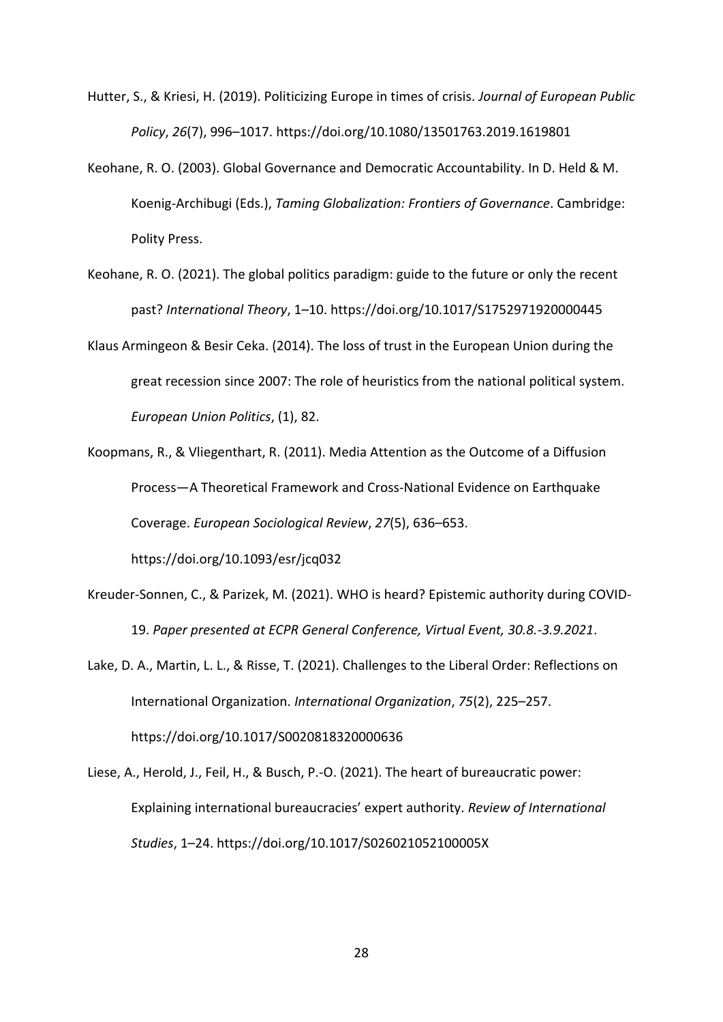- Hutter, S., & Kriesi, H. (2019). Politicizing Europe in times of crisis. *Journal of European Public Policy*, *26*(7), 996–1017. https://doi.org/10.1080/13501763.2019.1619801
- Keohane, R. O. (2003). Global Governance and Democratic Accountability. In D. Held & M. Koenig-Archibugi (Eds.), *Taming Globalization: Frontiers of Governance*. Cambridge: Polity Press.
- Keohane, R. O. (2021). The global politics paradigm: guide to the future or only the recent past? *International Theory*, 1–10. https://doi.org/10.1017/S1752971920000445
- Klaus Armingeon & Besir Ceka. (2014). The loss of trust in the European Union during the great recession since 2007: The role of heuristics from the national political system. *European Union Politics*, (1), 82.
- Koopmans, R., & Vliegenthart, R. (2011). Media Attention as the Outcome of a Diffusion Process—A Theoretical Framework and Cross-National Evidence on Earthquake Coverage. *European Sociological Review*, *27*(5), 636–653. https://doi.org/10.1093/esr/jcq032
- Kreuder-Sonnen, C., & Parizek, M. (2021). WHO is heard? Epistemic authority during COVID-19. *Paper presented at ECPR General Conference, Virtual Event, 30.8.-3.9.2021*.
- Lake, D. A., Martin, L. L., & Risse, T. (2021). Challenges to the Liberal Order: Reflections on International Organization. *International Organization*, *75*(2), 225–257. https://doi.org/10.1017/S0020818320000636
- Liese, A., Herold, J., Feil, H., & Busch, P.-O. (2021). The heart of bureaucratic power: Explaining international bureaucracies' expert authority. *Review of International Studies*, 1–24. https://doi.org/10.1017/S026021052100005X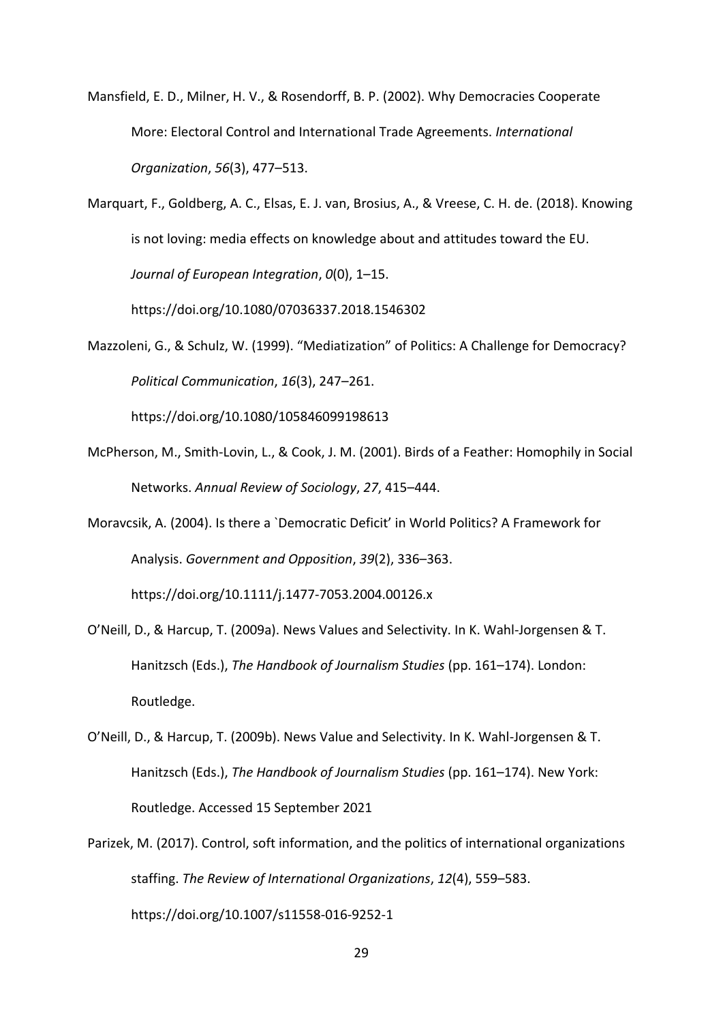- Mansfield, E. D., Milner, H. V., & Rosendorff, B. P. (2002). Why Democracies Cooperate More: Electoral Control and International Trade Agreements. *International Organization*, *56*(3), 477–513.
- Marquart, F., Goldberg, A. C., Elsas, E. J. van, Brosius, A., & Vreese, C. H. de. (2018). Knowing is not loving: media effects on knowledge about and attitudes toward the EU. *Journal of European Integration*, *0*(0), 1–15.

https://doi.org/10.1080/07036337.2018.1546302

Mazzoleni, G., & Schulz, W. (1999). "Mediatization" of Politics: A Challenge for Democracy? *Political Communication*, *16*(3), 247–261.

https://doi.org/10.1080/105846099198613

- McPherson, M., Smith-Lovin, L., & Cook, J. M. (2001). Birds of a Feather: Homophily in Social Networks. *Annual Review of Sociology*, *27*, 415–444.
- Moravcsik, A. (2004). Is there a `Democratic Deficit' in World Politics? A Framework for Analysis. *Government and Opposition*, *39*(2), 336–363.

https://doi.org/10.1111/j.1477-7053.2004.00126.x

- O'Neill, D., & Harcup, T. (2009a). News Values and Selectivity. In K. Wahl-Jorgensen & T. Hanitzsch (Eds.), *The Handbook of Journalism Studies* (pp. 161–174). London: Routledge.
- O'Neill, D., & Harcup, T. (2009b). News Value and Selectivity. In K. Wahl-Jorgensen & T. Hanitzsch (Eds.), *The Handbook of Journalism Studies* (pp. 161–174). New York: Routledge. Accessed 15 September 2021
- Parizek, M. (2017). Control, soft information, and the politics of international organizations staffing. *The Review of International Organizations*, *12*(4), 559–583. https://doi.org/10.1007/s11558-016-9252-1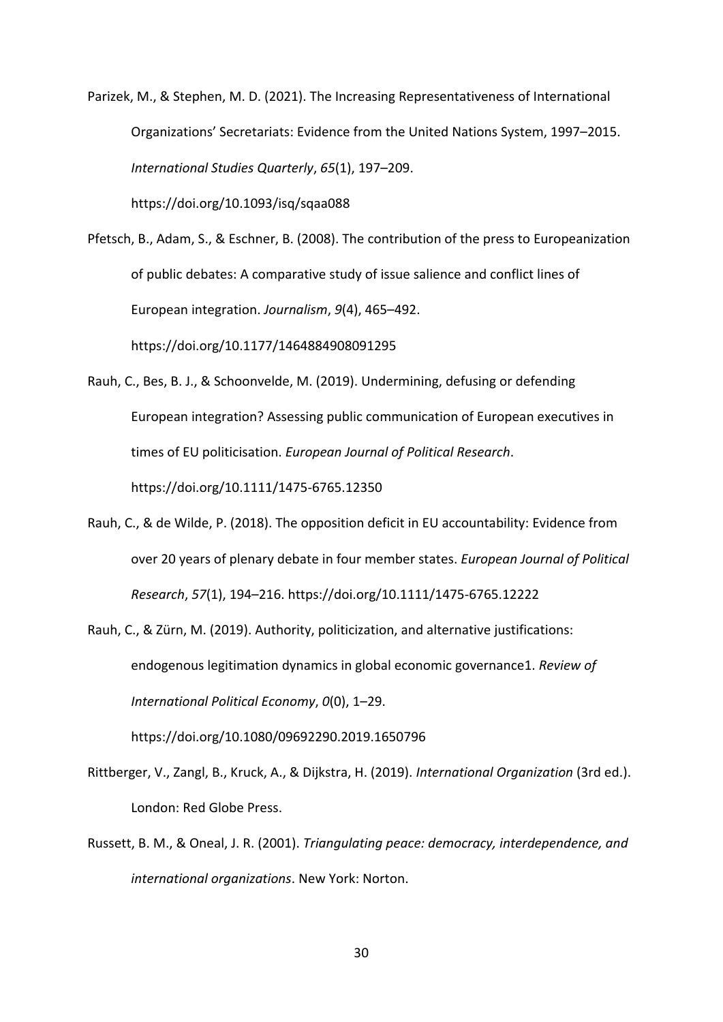Parizek, M., & Stephen, M. D. (2021). The Increasing Representativeness of International Organizations' Secretariats: Evidence from the United Nations System, 1997–2015. *International Studies Quarterly*, *65*(1), 197–209.

https://doi.org/10.1093/isq/sqaa088

Pfetsch, B., Adam, S., & Eschner, B. (2008). The contribution of the press to Europeanization of public debates: A comparative study of issue salience and conflict lines of European integration. *Journalism*, *9*(4), 465–492. https://doi.org/10.1177/1464884908091295

- Rauh, C., Bes, B. J., & Schoonvelde, M. (2019). Undermining, defusing or defending European integration? Assessing public communication of European executives in times of EU politicisation. *European Journal of Political Research*. https://doi.org/10.1111/1475-6765.12350
- Rauh, C., & de Wilde, P. (2018). The opposition deficit in EU accountability: Evidence from over 20 years of plenary debate in four member states. *European Journal of Political Research*, *57*(1), 194–216. https://doi.org/10.1111/1475-6765.12222
- Rauh, C., & Zürn, M. (2019). Authority, politicization, and alternative justifications: endogenous legitimation dynamics in global economic governance1. *Review of International Political Economy*, *0*(0), 1–29.

https://doi.org/10.1080/09692290.2019.1650796

- Rittberger, V., Zangl, B., Kruck, A., & Dijkstra, H. (2019). *International Organization* (3rd ed.). London: Red Globe Press.
- Russett, B. M., & Oneal, J. R. (2001). *Triangulating peace: democracy, interdependence, and international organizations*. New York: Norton.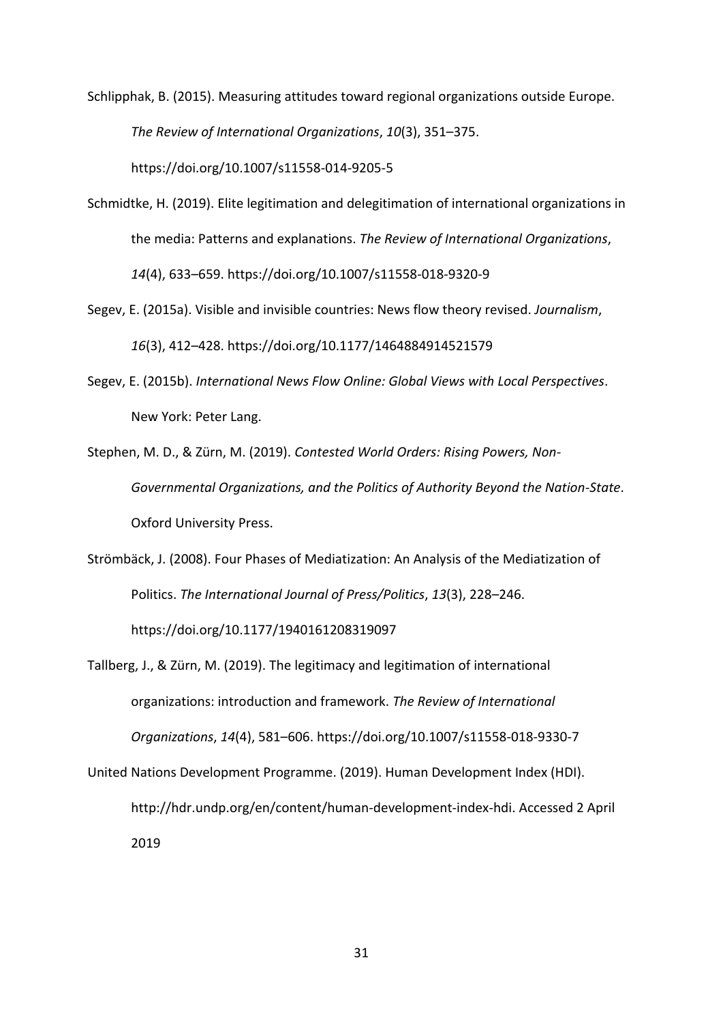Schlipphak, B. (2015). Measuring attitudes toward regional organizations outside Europe. *The Review of International Organizations*, *10*(3), 351–375. https://doi.org/10.1007/s11558-014-9205-5

- Schmidtke, H. (2019). Elite legitimation and delegitimation of international organizations in the media: Patterns and explanations. *The Review of International Organizations*, *14*(4), 633–659. https://doi.org/10.1007/s11558-018-9320-9
- Segev, E. (2015a). Visible and invisible countries: News flow theory revised. *Journalism*, *16*(3), 412–428. https://doi.org/10.1177/1464884914521579
- Segev, E. (2015b). *International News Flow Online: Global Views with Local Perspectives*. New York: Peter Lang.
- Stephen, M. D., & Zürn, M. (2019). *Contested World Orders: Rising Powers, Non-Governmental Organizations, and the Politics of Authority Beyond the Nation-State*. Oxford University Press.
- Strömbäck, J. (2008). Four Phases of Mediatization: An Analysis of the Mediatization of Politics. *The International Journal of Press/Politics*, *13*(3), 228–246. https://doi.org/10.1177/1940161208319097
- Tallberg, J., & Zürn, M. (2019). The legitimacy and legitimation of international organizations: introduction and framework. *The Review of International Organizations*, *14*(4), 581–606. https://doi.org/10.1007/s11558-018-9330-7
- United Nations Development Programme. (2019). Human Development Index (HDI). http://hdr.undp.org/en/content/human-development-index-hdi. Accessed 2 April 2019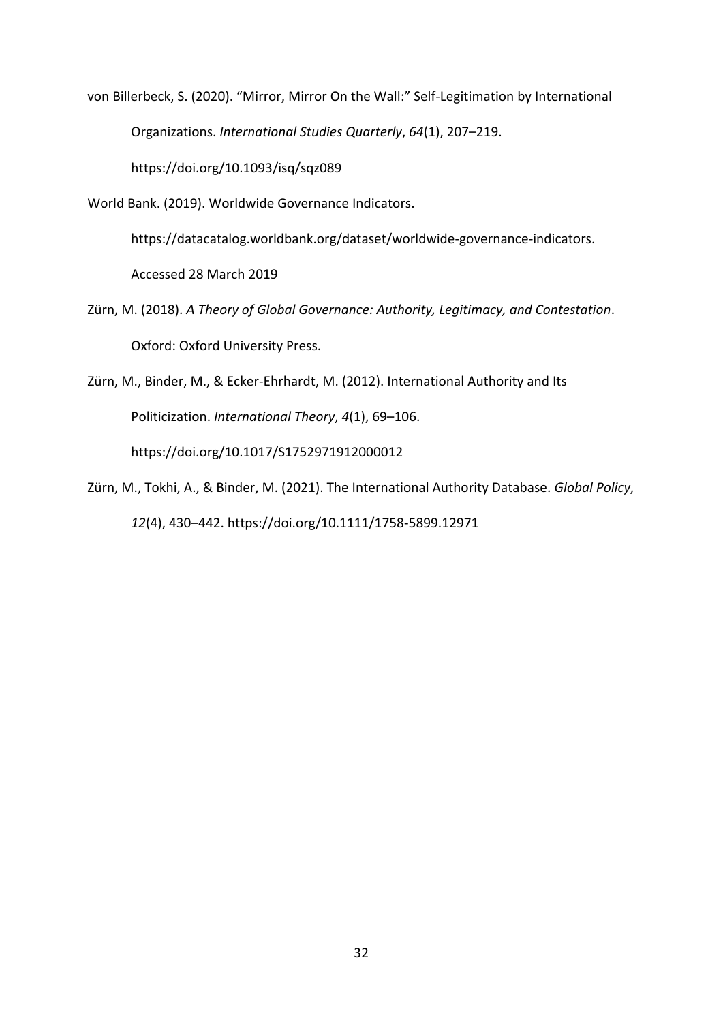von Billerbeck, S. (2020). "Mirror, Mirror On the Wall:" Self-Legitimation by International Organizations. *International Studies Quarterly*, *64*(1), 207–219. https://doi.org/10.1093/isq/sqz089

World Bank. (2019). Worldwide Governance Indicators.

https://datacatalog.worldbank.org/dataset/worldwide-governance-indicators.

Accessed 28 March 2019

Zürn, M. (2018). *A Theory of Global Governance: Authority, Legitimacy, and Contestation*. Oxford: Oxford University Press.

Zürn, M., Binder, M., & Ecker-Ehrhardt, M. (2012). International Authority and Its Politicization. *International Theory*, *4*(1), 69–106.

https://doi.org/10.1017/S1752971912000012

Zürn, M., Tokhi, A., & Binder, M. (2021). The International Authority Database. *Global Policy*, *12*(4), 430–442. https://doi.org/10.1111/1758-5899.12971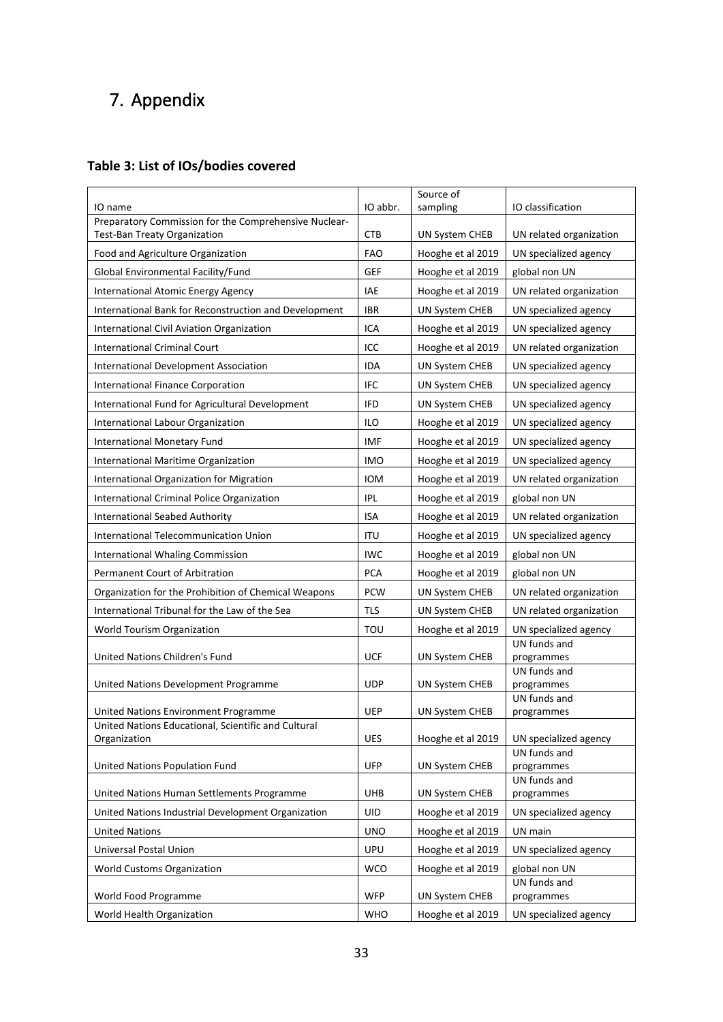## 7. Appendix

## <span id="page-32-0"></span>**Table 3: List of IOs/bodies covered**

|                                                                                       |            | Source of             |                            |
|---------------------------------------------------------------------------------------|------------|-----------------------|----------------------------|
| IO name                                                                               | IO abbr.   | sampling              | IO classification          |
| Preparatory Commission for the Comprehensive Nuclear-<br>Test-Ban Treaty Organization | <b>CTB</b> | UN System CHEB        | UN related organization    |
| Food and Agriculture Organization                                                     | <b>FAO</b> | Hooghe et al 2019     | UN specialized agency      |
| Global Environmental Facility/Fund<br><b>GEF</b>                                      |            | Hooghe et al 2019     | global non UN              |
| International Atomic Energy Agency                                                    | IAE        | Hooghe et al 2019     | UN related organization    |
| International Bank for Reconstruction and Development                                 | <b>IBR</b> | UN System CHEB        | UN specialized agency      |
| International Civil Aviation Organization                                             | ICA        | Hooghe et al 2019     | UN specialized agency      |
| <b>International Criminal Court</b>                                                   | ICC        | Hooghe et al 2019     | UN related organization    |
| International Development Association                                                 | <b>IDA</b> | UN System CHEB        | UN specialized agency      |
| <b>International Finance Corporation</b>                                              | <b>IFC</b> | <b>UN System CHEB</b> | UN specialized agency      |
| International Fund for Agricultural Development                                       | <b>IFD</b> | UN System CHEB        | UN specialized agency      |
| International Labour Organization                                                     | ILO        | Hooghe et al 2019     | UN specialized agency      |
| <b>International Monetary Fund</b>                                                    | <b>IMF</b> | Hooghe et al 2019     | UN specialized agency      |
| International Maritime Organization                                                   | <b>IMO</b> | Hooghe et al 2019     | UN specialized agency      |
| International Organization for Migration                                              | <b>IOM</b> | Hooghe et al 2019     | UN related organization    |
| <b>International Criminal Police Organization</b>                                     | <b>IPL</b> | Hooghe et al 2019     | global non UN              |
| <b>International Seabed Authority</b>                                                 | <b>ISA</b> | Hooghe et al 2019     | UN related organization    |
| International Telecommunication Union                                                 | ITU        | Hooghe et al 2019     | UN specialized agency      |
| <b>International Whaling Commission</b>                                               | <b>IWC</b> | Hooghe et al 2019     | global non UN              |
| Permanent Court of Arbitration                                                        | <b>PCA</b> | Hooghe et al 2019     | global non UN              |
| Organization for the Prohibition of Chemical Weapons                                  | <b>PCW</b> | UN System CHEB        | UN related organization    |
| International Tribunal for the Law of the Sea                                         | TLS        | UN System CHEB        | UN related organization    |
| World Tourism Organization                                                            | TOU        | Hooghe et al 2019     | UN specialized agency      |
| United Nations Children's Fund                                                        | <b>UCF</b> | UN System CHEB        | UN funds and<br>programmes |
|                                                                                       |            |                       | UN funds and               |
| United Nations Development Programme                                                  | <b>UDP</b> | UN System CHEB        | programmes                 |
|                                                                                       |            |                       | UN funds and               |
| United Nations Environment Programme                                                  | <b>UEP</b> | UN System CHEB        | programmes                 |
| United Nations Educational, Scientific and Cultural<br>Organization                   | <b>UES</b> | Hooghe et al 2019     | UN specialized agency      |
|                                                                                       |            |                       | UN funds and               |
| United Nations Population Fund                                                        | <b>UFP</b> | <b>UN System CHEB</b> | programmes<br>UN funds and |
| United Nations Human Settlements Programme                                            | <b>UHB</b> | UN System CHEB        | programmes                 |
| United Nations Industrial Development Organization                                    | UID        | Hooghe et al 2019     | UN specialized agency      |
| <b>United Nations</b>                                                                 | <b>UNO</b> | Hooghe et al 2019     | UN main                    |
| Universal Postal Union                                                                | <b>UPU</b> | Hooghe et al 2019     | UN specialized agency      |
| <b>World Customs Organization</b>                                                     | <b>WCO</b> | Hooghe et al 2019     | global non UN              |
|                                                                                       |            |                       | UN funds and               |
| World Food Programme                                                                  | <b>WFP</b> | UN System CHEB        | programmes                 |
| World Health Organization                                                             | <b>WHO</b> | Hooghe et al 2019     | UN specialized agency      |